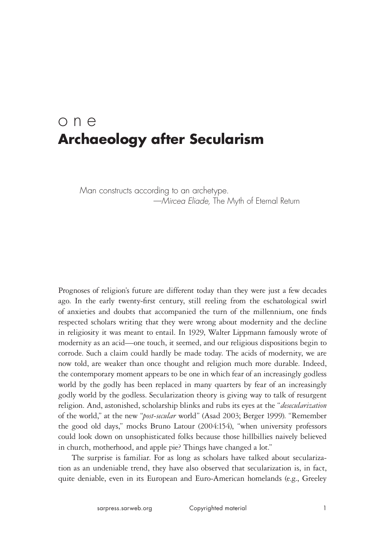# one **Archaeology after Secularism**

Man constructs according to an archetype. *—Mircea Eliade,* The Myth of Eternal Return

Prognoses of religion's future are different today than they were just a few decades ago. In the early twenty-first century, still reeling from the eschatological swirl of anxieties and doubts that accompanied the turn of the millennium, one finds respected scholars writing that they were wrong about modernity and the decline in religiosity it was meant to entail. In 1929, Walter Lippmann famously wrote of modernity as an acid—one touch, it seemed, and our religious dispositions begin to corrode. Such a claim could hardly be made today. The acids of modernity, we are now told, are weaker than once thought and religion much more durable. Indeed, the contemporary moment appears to be one in which fear of an increasingly godless world by the godly has been replaced in many quarters by fear of an increasingly godly world by the godless. Secularization theory is giving way to talk of resurgent religion. And, astonished, scholarship blinks and rubs its eyes at the "*desecularization* of the world," at the new "*post-secular* world" (Asad 2003; Berger 1999). "Remember the good old days," mocks Bruno Latour (2004:154), "when university professors could look down on unsophisticated folks because those hillbillies naively believed in church, motherhood, and apple pie? Things have changed a lot."

The surprise is familiar. For as long as scholars have talked about secularization as an undeniable trend, they have also observed that secularization is, in fact, quite deniable, even in its European and Euro-American homelands (e.g., Greeley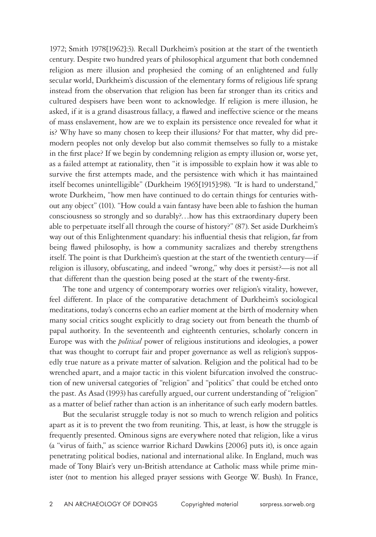1972; Smith 1978[1962]:3). Recall Durkheim's position at the start of the twentieth century. Despite two hundred years of philosophical argument that both condemned religion as mere illusion and prophesied the coming of an enlightened and fully secular world, Durkheim's discussion of the elementary forms of religious life sprang instead from the observation that religion has been far stronger than its critics and cultured despisers have been wont to acknowledge. If religion is mere illusion, he asked, if it is a grand disastrous fallacy, a flawed and ineffective science or the means of mass enslavement, how are we to explain its persistence once revealed for what it is? Why have so many chosen to keep their illusions? For that matter, why did premodern peoples not only develop but also commit themselves so fully to a mistake in the first place? If we begin by condemning religion as empty illusion or, worse yet, as a failed attempt at rationality, then "it is impossible to explain how it was able to survive the first attempts made, and the persistence with which it has maintained itself becomes unintelligible" (Durkheim 1965[1915]:98). "It is hard to understand," wrote Durkheim, "how men have continued to do certain things for centuries without any object" (101). "How could a vain fantasy have been able to fashion the human consciousness so strongly and so durably?…how has this extraordinary dupery been able to perpetuate itself all through the course of history?" (87). Set aside Durkheim's way out of this Enlightenment quandary: his influential thesis that religion, far from being flawed philosophy, is how a community sacralizes and thereby strengthens itself. The point is that Durkheim's question at the start of the twentieth century—if religion is illusory, obfuscating, and indeed "wrong," why does it persist?—is not all that different than the question being posed at the start of the twenty-first.

The tone and urgency of contemporary worries over religion's vitality, however, feel different. In place of the comparative detachment of Durkheim's sociological meditations, today's concerns echo an earlier moment at the birth of modernity when many social critics sought explicitly to drag society out from beneath the thumb of papal authority. In the seventeenth and eighteenth centuries, scholarly concern in Europe was with the *political* power of religious institutions and ideologies, a power that was thought to corrupt fair and proper governance as well as religion's supposedly true nature as a private matter of salvation. Religion and the political had to be wrenched apart, and a major tactic in this violent bifurcation involved the construction of new universal categories of "religion" and "politics" that could be etched onto the past. As Asad (1993) has carefully argued, our current understanding of "religion" as a matter of belief rather than action is an inheritance of such early modern battles.

But the secularist struggle today is not so much to wrench religion and politics apart as it is to prevent the two from reuniting. This, at least, is how the struggle is frequently presented. Ominous signs are everywhere noted that religion, like a virus (a "virus of faith," as science warrior Richard Dawkins [2006] puts it), is once again penetrating political bodies, national and international alike. In England, much was made of Tony Blair's very un-British attendance at Catholic mass while prime minister (not to mention his alleged prayer sessions with George W. Bush). In France,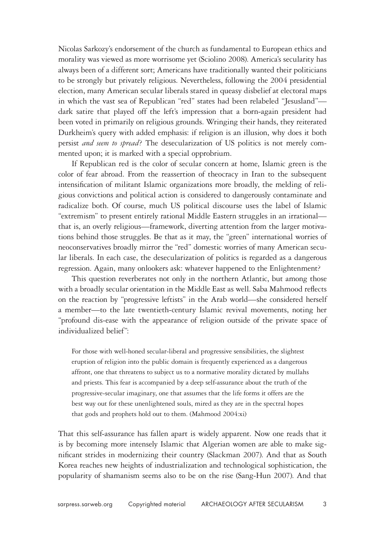Nicolas Sarkozy's endorsement of the church as fundamental to European ethics and morality was viewed as more worrisome yet (Sciolino 2008). America's secularity has always been of a different sort; Americans have traditionally wanted their politicians to be strongly but privately religious. Nevertheless, following the 2004 presidential election, many American secular liberals stared in queasy disbelief at electoral maps in which the vast sea of Republican "red" states had been relabeled "Jesusland" dark satire that played off the left's impression that a born-again president had been voted in primarily on religious grounds. Wringing their hands, they reiterated Durkheim's query with added emphasis: if religion is an illusion, why does it both persist *and seem to spread*? The desecularization of US politics is not merely commented upon; it is marked with a special opprobrium.

If Republican red is the color of secular concern at home, Islamic green is the color of fear abroad. From the reassertion of theocracy in Iran to the subsequent intensification of militant Islamic organizations more broadly, the melding of religious convictions and political action is considered to dangerously contaminate and radicalize both. Of course, much US political discourse uses the label of Islamic "extremism" to present entirely rational Middle Eastern struggles in an irrational that is, an overly religious—framework, diverting attention from the larger motivations behind those struggles. Be that as it may, the "green" international worries of neoconservatives broadly mirror the "red" domestic worries of many American secular liberals. In each case, the desecularization of politics is regarded as a dangerous regression. Again, many onlookers ask: whatever happened to the Enlightenment?

This question reverberates not only in the northern Atlantic, but among those with a broadly secular orientation in the Middle East as well. Saba Mahmood reflects on the reaction by "progressive leftists" in the Arab world—she considered herself a member—to the late twentieth-century Islamic revival movements, noting her "profound dis-ease with the appearance of religion outside of the private space of individualized belief":

For those with well-honed secular-liberal and progressive sensibilities, the slightest eruption of religion into the public domain is frequently experienced as a dangerous affront, one that threatens to subject us to a normative morality dictated by mullahs and priests. This fear is accompanied by a deep self-assurance about the truth of the progressive-secular imaginary, one that assumes that the life forms it offers are the best way out for these unenlightened souls, mired as they are in the spectral hopes that gods and prophets hold out to them. (Mahmood 2004:xi)

That this self-assurance has fallen apart is widely apparent. Now one reads that it is by becoming more intensely Islamic that Algerian women are able to make significant strides in modernizing their country (Slackman 2007). And that as South Korea reaches new heights of industrialization and technological sophistication, the popularity of shamanism seems also to be on the rise (Sang-Hun 2007). And that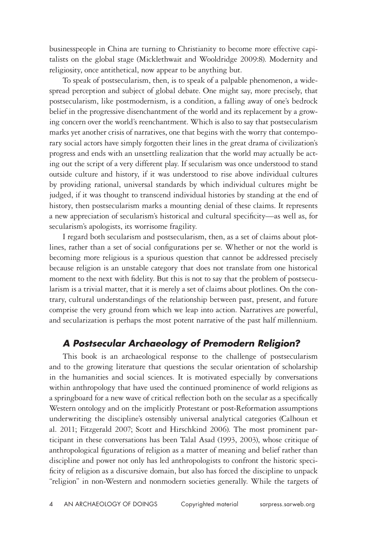businesspeople in China are turning to Christianity to become more effective capitalists on the global stage (Micklethwait and Wooldridge 2009:8). Modernity and religiosity, once antithetical, now appear to be anything but.

To speak of postsecularism, then, is to speak of a palpable phenomenon, a widespread perception and subject of global debate. One might say, more precisely, that postsecularism, like postmodernism, is a condition, a falling away of one's bedrock belief in the progressive disenchantment of the world and its replacement by a growing concern over the world's reenchantment. Which is also to say that postsecularism marks yet another crisis of narratives, one that begins with the worry that contemporary social actors have simply forgotten their lines in the great drama of civilization's progress and ends with an unsettling realization that the world may actually be acting out the script of a very different play. If secularism was once understood to stand outside culture and history, if it was understood to rise above individual cultures by providing rational, universal standards by which individual cultures might be judged, if it was thought to transcend individual histories by standing at the end of history, then postsecularism marks a mounting denial of these claims. It represents a new appreciation of secularism's historical and cultural specificity—as well as, for secularism's apologists, its worrisome fragility.

I regard both secularism and postsecularism, then, as a set of claims about plotlines, rather than a set of social configurations per se. Whether or not the world is becoming more religious is a spurious question that cannot be addressed precisely because religion is an unstable category that does not translate from one historical moment to the next with fidelity. But this is not to say that the problem of postsecularism is a trivial matter, that it is merely a set of claims about plotlines. On the contrary, cultural understandings of the relationship between past, present, and future comprise the very ground from which we leap into action. Narratives are powerful, and secularization is perhaps the most potent narrative of the past half millennium.

## *A Postsecular Archaeology of Premodern Religion?*

This book is an archaeological response to the challenge of postsecularism and to the growing literature that questions the secular orientation of scholarship in the humanities and social sciences. It is motivated especially by conversations within anthropology that have used the continued prominence of world religions as a springboard for a new wave of critical reflection both on the secular as a specifically Western ontology and on the implicitly Protestant or post-Reformation assumptions underwriting the discipline's ostensibly universal analytical categories (Calhoun et al. 2011; Fitzgerald 2007; Scott and Hirschkind 2006). The most prominent participant in these conversations has been Talal Asad (1993, 2003), whose critique of anthropological figurations of religion as a matter of meaning and belief rather than discipline and power not only has led anthropologists to confront the historic specificity of religion as a discursive domain, but also has forced the discipline to unpack "religion" in non-Western and nonmodern societies generally. While the targets of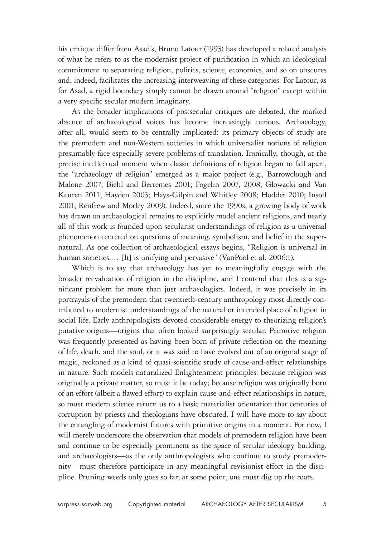his critique differ from Asad's, Bruno Latour (1993) has developed a related analysis of what he refers to as the modernist project of purification in which an ideological commitment to separating religion, politics, science, economics, and so on obscures and, indeed, facilitates the increasing interweaving of these categories. For Latour, as for Asad, a rigid boundary simply cannot be drawn around "religion" except within a very specific secular modern imaginary.

As the broader implications of postsecular critiques are debated, the marked absence of archaeological voices has become increasingly curious. Archaeology, after all, would seem to be centrally implicated: its primary objects of study are the premodern and non-Western societies in which universalist notions of religion presumably face especially severe problems of translation. Ironically, though, at the precise intellectual moment when classic definitions of religion began to fall apart, the "archaeology of religion" emerged as a major project (e.g., Barrowclough and Malone 2007; Biehl and Bertemes 2001; Fogelin 2007, 2008; Glowacki and Van Keuren 2011; Hayden 2003; Hays-Gilpin and Whitley 2008; Hodder 2010; Insoll 2001; Renfrew and Morley 2009). Indeed, since the 1990s, a growing body of work has drawn on archaeological remains to explicitly model ancient religions, and nearly all of this work is founded upon secularist understandings of religion as a universal phenomenon centered on questions of meaning, symbolism, and belief in the supernatural. As one collection of archaeological essays begins, "Religion is universal in human societies.... [It] is unifying and pervasive" (VanPool et al. 2006:1).

Which is to say that archaeology has yet to meaningfully engage with the broader reevaluation of religion in the discipline, and I contend that this is a significant problem for more than just archaeologists. Indeed, it was precisely in its portrayals of the premodern that twentieth-century anthropology most directly contributed to modernist understandings of the natural or intended place of religion in social life. Early anthropologists devoted considerable energy to theorizing religion's putative origins—origins that often looked surprisingly secular. Primitive religion was frequently presented as having been born of private reflection on the meaning of life, death, and the soul, or it was said to have evolved out of an original stage of magic, reckoned as a kind of quasi-scientific study of cause-and-effect relationships in nature. Such models naturalized Enlightenment principles: because religion was originally a private matter, so must it be today; because religion was originally born of an effort (albeit a flawed effort) to explain cause-and-effect relationships in nature, so must modern science return us to a basic materialist orientation that centuries of corruption by priests and theologians have obscured. I will have more to say about the entangling of modernist futures with primitive origins in a moment. For now, I will merely underscore the observation that models of premodern religion have been and continue to be especially prominent as the space of secular ideology building, and archaeologists—as the only anthropologists who continue to study premodernity—must therefore participate in any meaningful revisionist effort in the discipline. Pruning weeds only goes so far; at some point, one must dig up the roots.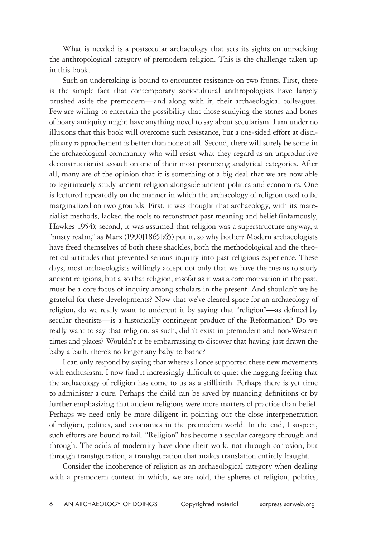What is needed is a postsecular archaeology that sets its sights on unpacking the anthropological category of premodern religion. This is the challenge taken up in this book.

Such an undertaking is bound to encounter resistance on two fronts. First, there is the simple fact that contemporary sociocultural anthropologists have largely brushed aside the premodern—and along with it, their archaeological colleagues. Few are willing to entertain the possibility that those studying the stones and bones of hoary antiquity might have anything novel to say about secularism. I am under no illusions that this book will overcome such resistance, but a one-sided effort at disciplinary rapprochement is better than none at all. Second, there will surely be some in the archaeological community who will resist what they regard as an unproductive deconstructionist assault on one of their most promising analytical categories. After all, many are of the opinion that it is something of a big deal that we are now able to legitimately study ancient religion alongside ancient politics and economics. One is lectured repeatedly on the manner in which the archaeology of religion used to be marginalized on two grounds. First, it was thought that archaeology, with its materialist methods, lacked the tools to reconstruct past meaning and belief (infamously, Hawkes 1954); second, it was assumed that religion was a superstructure anyway, a "misty realm," as Marx (1990[1865]:65) put it, so why bother? Modern archaeologists have freed themselves of both these shackles, both the methodological and the theoretical attitudes that prevented serious inquiry into past religious experience. These days, most archaeologists willingly accept not only that we have the means to study ancient religions, but also that religion, insofar as it was a core motivation in the past, must be a core focus of inquiry among scholars in the present. And shouldn't we be grateful for these developments? Now that we've cleared space for an archaeology of religion, do we really want to undercut it by saying that "religion"—as defined by secular theorists—is a historically contingent product of the Reformation? Do we really want to say that religion, as such, didn't exist in premodern and non-Western times and places? Wouldn't it be embarrassing to discover that having just drawn the baby a bath, there's no longer any baby to bathe?

I can only respond by saying that whereas I once supported these new movements with enthusiasm, I now find it increasingly difficult to quiet the nagging feeling that the archaeology of religion has come to us as a stillbirth. Perhaps there is yet time to administer a cure. Perhaps the child can be saved by nuancing definitions or by further emphasizing that ancient religions were more matters of practice than belief. Perhaps we need only be more diligent in pointing out the close interpenetration of religion, politics, and economics in the premodern world. In the end, I suspect, such efforts are bound to fail. "Religion" has become a secular category through and through. The acids of modernity have done their work, not through corrosion, but through transfiguration, a transfiguration that makes translation entirely fraught.

Consider the incoherence of religion as an archaeological category when dealing with a premodern context in which, we are told, the spheres of religion, politics,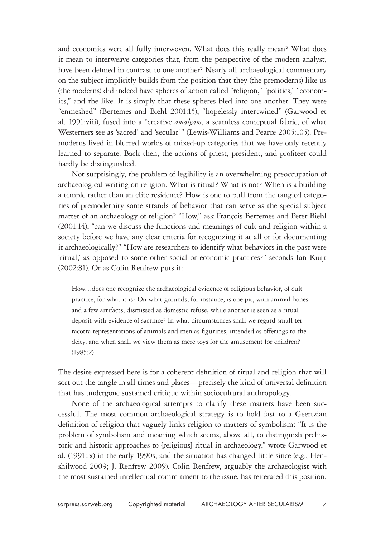and economics were all fully interwoven. What does this really mean? What does it mean to interweave categories that, from the perspective of the modern analyst, have been defined in contrast to one another? Nearly all archaeological commentary on the subject implicitly builds from the position that they (the premoderns) like us (the moderns) did indeed have spheres of action called "religion," "politics," "economics," and the like. It is simply that these spheres bled into one another. They were "enmeshed" (Bertemes and Biehl 2001:15), "hopelessly intertwined" (Garwood et al. 1991:viii), fused into a "creative *amalgam*, a seamless conceptual fabric, of what Westerners see as 'sacred' and 'secular'" (Lewis-Williams and Pearce 2005:105). Premoderns lived in blurred worlds of mixed-up categories that we have only recently learned to separate. Back then, the actions of priest, president, and profiteer could hardly be distinguished.

Not surprisingly, the problem of legibility is an overwhelming preoccupation of archaeological writing on religion. What is ritual? What is not? When is a building a temple rather than an elite residence? How is one to pull from the tangled categories of premodernity some strands of behavior that can serve as the special subject matter of an archaeology of religion? "How," ask François Bertemes and Peter Biehl (2001:14), "can we discuss the functions and meanings of cult and religion within a society before we have any clear criteria for recognizing it at all or for documenting it archaeologically?" "How are researchers to identify what behaviors in the past were 'ritual,' as opposed to some other social or economic practices?" seconds Ian Kuijt (2002:81). Or as Colin Renfrew puts it:

How…does one recognize the archaeological evidence of religious behavior, of cult practice, for what it is? On what grounds, for instance, is one pit, with animal bones and a few artifacts, dismissed as domestic refuse, while another is seen as a ritual deposit with evidence of sacrifice? In what circumstances shall we regard small terracotta representations of animals and men as figurines, intended as offerings to the deity, and when shall we view them as mere toys for the amusement for children? (1985:2)

The desire expressed here is for a coherent definition of ritual and religion that will sort out the tangle in all times and places—precisely the kind of universal definition that has undergone sustained critique within sociocultural anthropology.

None of the archaeological attempts to clarify these matters have been successful. The most common archaeological strategy is to hold fast to a Geertzian definition of religion that vaguely links religion to matters of symbolism: "It is the problem of symbolism and meaning which seems, above all, to distinguish prehistoric and historic approaches to [religious] ritual in archaeology," wrote Garwood et al. (1991:ix) in the early 1990s, and the situation has changed little since (e.g., Henshilwood 2009; J. Renfrew 2009). Colin Renfrew, arguably the archaeologist with the most sustained intellectual commitment to the issue, has reiterated this position,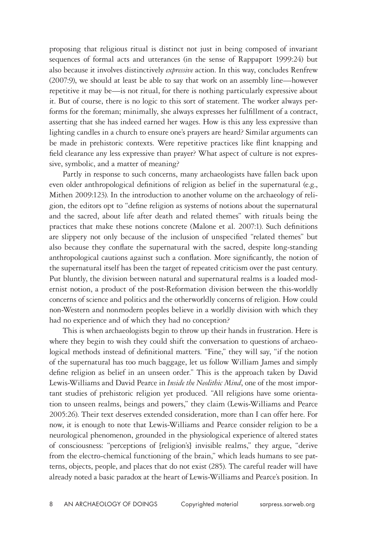proposing that religious ritual is distinct not just in being composed of invariant sequences of formal acts and utterances (in the sense of Rappaport 1999:24) but also because it involves distinctively *expressive* action. In this way, concludes Renfrew (2007:9), we should at least be able to say that work on an assembly line—however repetitive it may be—is not ritual, for there is nothing particularly expressive about it. But of course, there is no logic to this sort of statement. The worker always performs for the foreman; minimally, she always expresses her fulfillment of a contract, asserting that she has indeed earned her wages. How is this any less expressive than lighting candles in a church to ensure one's prayers are heard? Similar arguments can be made in prehistoric contexts. Were repetitive practices like flint knapping and field clearance any less expressive than prayer? What aspect of culture is not expressive, symbolic, and a matter of meaning?

Partly in response to such concerns, many archaeologists have fallen back upon even older anthropological definitions of religion as belief in the supernatural (e.g., Mithen 2009:123). In the introduction to another volume on the archaeology of religion, the editors opt to "define religion as systems of notions about the supernatural and the sacred, about life after death and related themes" with rituals being the practices that make these notions concrete (Malone et al. 2007:1). Such definitions are slippery not only because of the inclusion of unspecified "related themes" but also because they conflate the supernatural with the sacred, despite long-standing anthropological cautions against such a conflation. More significantly, the notion of the supernatural itself has been the target of repeated criticism over the past century. Put bluntly, the division between natural and supernatural realms is a loaded modernist notion, a product of the post-Reformation division between the this-worldly concerns of science and politics and the otherworldly concerns of religion. How could non-Western and nonmodern peoples believe in a worldly division with which they had no experience and of which they had no conception?

This is when archaeologists begin to throw up their hands in frustration. Here is where they begin to wish they could shift the conversation to questions of archaeological methods instead of definitional matters. "Fine," they will say, "if the notion of the supernatural has too much baggage, let us follow William James and simply define religion as belief in an unseen order." This is the approach taken by David Lewis-Williams and David Pearce in *Inside the Neolithic Mind*, one of the most important studies of prehistoric religion yet produced. "All religions have some orientation to unseen realms, beings and powers," they claim (Lewis-Williams and Pearce 2005:26). Their text deserves extended consideration, more than I can offer here. For now, it is enough to note that Lewis-Williams and Pearce consider religion to be a neurological phenomenon, grounded in the physiological experience of altered states of consciousness: "perceptions of [religion's] invisible realms," they argue, "derive from the electro-chemical functioning of the brain," which leads humans to see patterns, objects, people, and places that do not exist (285). The careful reader will have already noted a basic paradox at the heart of Lewis-Williams and Pearce's position. In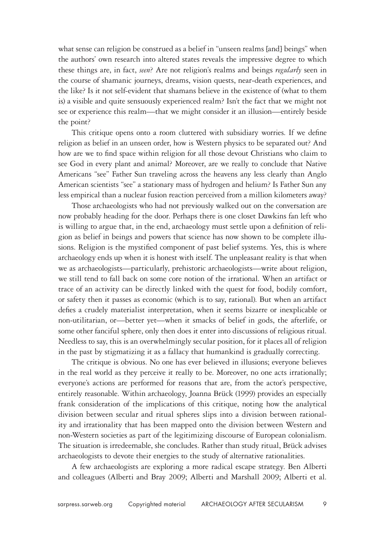what sense can religion be construed as a belief in "unseen realms [and] beings" when the authors' own research into altered states reveals the impressive degree to which these things are, in fact, *seen*? Are not religion's realms and beings *regularly* seen in the course of shamanic journeys, dreams, vision quests, near-death experiences, and the like? Is it not self-evident that shamans believe in the existence of (what to them is) a visible and quite sensuously experienced realm? Isn't the fact that we might not see or experience this realm—that we might consider it an illusion—entirely beside the point?

This critique opens onto a room cluttered with subsidiary worries. If we define religion as belief in an unseen order, how is Western physics to be separated out? And how are we to find space within religion for all those devout Christians who claim to see God in every plant and animal? Moreover, are we really to conclude that Native Americans "see" Father Sun traveling across the heavens any less clearly than Anglo American scientists "see" a stationary mass of hydrogen and helium? Is Father Sun any less empirical than a nuclear fusion reaction perceived from a million kilometers away?

Those archaeologists who had not previously walked out on the conversation are now probably heading for the door. Perhaps there is one closet Dawkins fan left who is willing to argue that, in the end, archaeology must settle upon a definition of religion as belief in beings and powers that science has now shown to be complete illusions. Religion is the mystified component of past belief systems. Yes, this is where archaeology ends up when it is honest with itself. The unpleasant reality is that when we as archaeologists—particularly, prehistoric archaeologists—write about religion, we still tend to fall back on some core notion of the irrational. When an artifact or trace of an activity can be directly linked with the quest for food, bodily comfort, or safety then it passes as economic (which is to say, rational). But when an artifact defies a crudely materialist interpretation, when it seems bizarre or inexplicable or non-utilitarian, or—better yet—when it smacks of belief in gods, the afterlife, or some other fanciful sphere, only then does it enter into discussions of religious ritual. Needless to say, this is an overwhelmingly secular position, for it places all of religion in the past by stigmatizing it as a fallacy that humankind is gradually correcting.

The critique is obvious. No one has ever believed in illusions; everyone believes in the real world as they perceive it really to be. Moreover, no one acts irrationally; everyone's actions are performed for reasons that are, from the actor's perspective, entirely reasonable. Within archaeology, Joanna Brück (1999) provides an especially frank consideration of the implications of this critique, noting how the analytical division between secular and ritual spheres slips into a division between rationality and irrationality that has been mapped onto the division between Western and non-Western societies as part of the legitimizing discourse of European colonialism. The situation is irredeemable, she concludes. Rather than study ritual, Brück advises archaeologists to devote their energies to the study of alternative rationalities.

A few archaeologists are exploring a more radical escape strategy. Ben Alberti and colleagues (Alberti and Bray 2009; Alberti and Marshall 2009; Alberti et al.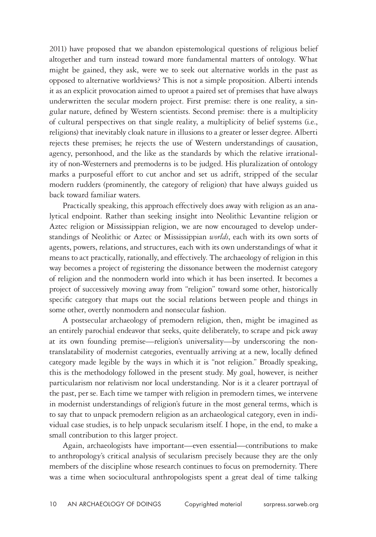2011) have proposed that we abandon epistemological questions of religious belief altogether and turn instead toward more fundamental matters of ontology. What might be gained, they ask, were we to seek out alternative worlds in the past as opposed to alternative worldviews? This is not a simple proposition. Alberti intends it as an explicit provocation aimed to uproot a paired set of premises that have always underwritten the secular modern project. First premise: there is one reality, a singular nature, defined by Western scientists. Second premise: there is a multiplicity of cultural perspectives on that single reality, a multiplicity of belief systems (i.e., religions) that inevitably cloak nature in illusions to a greater or lesser degree. Alberti rejects these premises; he rejects the use of Western understandings of causation, agency, personhood, and the like as the standards by which the relative irrationality of non-Westerners and premoderns is to be judged. His pluralization of ontology marks a purposeful effort to cut anchor and set us adrift, stripped of the secular modern rudders (prominently, the category of religion) that have always guided us back toward familiar waters.

Practically speaking, this approach effectively does away with religion as an analytical endpoint. Rather than seeking insight into Neolithic Levantine religion or Aztec religion or Mississippian religion, we are now encouraged to develop understandings of Neolithic or Aztec or Mississippian *worlds*, each with its own sorts of agents, powers, relations, and structures, each with its own understandings of what it means to act practically, rationally, and effectively. The archaeology of religion in this way becomes a project of registering the dissonance between the modernist category of religion and the nonmodern world into which it has been inserted. It becomes a project of successively moving away from "religion" toward some other, historically specific category that maps out the social relations between people and things in some other, overtly nonmodern and nonsecular fashion.

A postsecular archaeology of premodern religion, then, might be imagined as an entirely parochial endeavor that seeks, quite deliberately, to scrape and pick away at its own founding premise—religion's universality—by underscoring the nontranslatability of modernist categories, eventually arriving at a new, locally defined category made legible by the ways in which it is "not religion." Broadly speaking, this is the methodology followed in the present study. My goal, however, is neither particularism nor relativism nor local understanding. Nor is it a clearer portrayal of the past, per se. Each time we tamper with religion in premodern times, we intervene in modernist understandings of religion's future in the most general terms, which is to say that to unpack premodern religion as an archaeological category, even in individual case studies, is to help unpack secularism itself. I hope, in the end, to make a small contribution to this larger project.

Again, archaeologists have important—even essential—contributions to make to anthropology's critical analysis of secularism precisely because they are the only members of the discipline whose research continues to focus on premodernity. There was a time when sociocultural anthropologists spent a great deal of time talking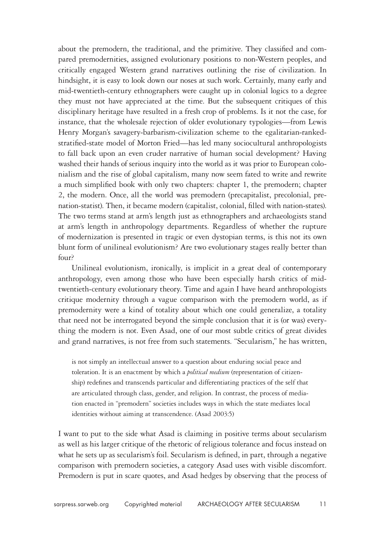about the premodern, the traditional, and the primitive. They classified and compared premodernities, assigned evolutionary positions to non-Western peoples, and critically engaged Western grand narratives outlining the rise of civilization. In hindsight, it is easy to look down our noses at such work. Certainly, many early and mid-twentieth-century ethnographers were caught up in colonial logics to a degree they must not have appreciated at the time. But the subsequent critiques of this disciplinary heritage have resulted in a fresh crop of problems. Is it not the case, for instance, that the wholesale rejection of older evolutionary typologies—from Lewis Henry Morgan's savagery-barbarism-civilization scheme to the egalitarian-rankedstratified-state model of Morton Fried—has led many sociocultural anthropologists to fall back upon an even cruder narrative of human social development? Having washed their hands of serious inquiry into the world as it was prior to European colonialism and the rise of global capitalism, many now seem fated to write and rewrite a much simplified book with only two chapters: chapter 1, the premodern; chapter 2, the modern. Once, all the world was premodern (precapitalist, precolonial, prenation-statist). Then, it became modern (capitalist, colonial, filled with nation-states). The two terms stand at arm's length just as ethnographers and archaeologists stand at arm's length in anthropology departments. Regardless of whether the rupture of modernization is presented in tragic or even dystopian terms, is this not its own blunt form of unilineal evolutionism? Are two evolutionary stages really better than four?

Unilineal evolutionism, ironically, is implicit in a great deal of contemporary anthropology, even among those who have been especially harsh critics of midtwentieth-century evolutionary theory. Time and again I have heard anthropologists critique modernity through a vague comparison with the premodern world, as if premodernity were a kind of totality about which one could generalize, a totality that need not be interrogated beyond the simple conclusion that it is (or was) everything the modern is not. Even Asad, one of our most subtle critics of great divides and grand narratives, is not free from such statements. "Secularism," he has written,

is not simply an intellectual answer to a question about enduring social peace and toleration. It is an enactment by which a *political medium* (representation of citizenship) redefines and transcends particular and differentiating practices of the self that are articulated through class, gender, and religion. In contrast, the process of mediation enacted in "premodern" societies includes ways in which the state mediates local identities without aiming at transcendence. (Asad 2003:5)

I want to put to the side what Asad is claiming in positive terms about secularism as well as his larger critique of the rhetoric of religious tolerance and focus instead on what he sets up as secularism's foil. Secularism is defined, in part, through a negative comparison with premodern societies, a category Asad uses with visible discomfort. Premodern is put in scare quotes, and Asad hedges by observing that the process of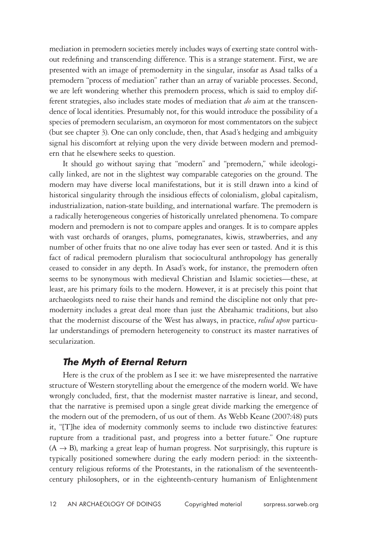mediation in premodern societies merely includes ways of exerting state control without redefining and transcending difference. This is a strange statement. First, we are presented with an image of premodernity in the singular, insofar as Asad talks of a premodern "process of mediation" rather than an array of variable processes. Second, we are left wondering whether this premodern process, which is said to employ different strategies, also includes state modes of mediation that *do* aim at the transcendence of local identities. Presumably not, for this would introduce the possibility of a species of premodern secularism, an oxymoron for most commentators on the subject (but see chapter 3). One can only conclude, then, that Asad's hedging and ambiguity signal his discomfort at relying upon the very divide between modern and premodern that he elsewhere seeks to question.

It should go without saying that "modern" and "premodern," while ideologically linked, are not in the slightest way comparable categories on the ground. The modern may have diverse local manifestations, but it is still drawn into a kind of historical singularity through the insidious effects of colonialism, global capitalism, industrialization, nation-state building, and international warfare. The premodern is a radically heterogeneous congeries of historically unrelated phenomena. To compare modern and premodern is not to compare apples and oranges. It is to compare apples with vast orchards of oranges, plums, pomegranates, kiwis, strawberries, and any number of other fruits that no one alive today has ever seen or tasted. And it is this fact of radical premodern pluralism that sociocultural anthropology has generally ceased to consider in any depth. In Asad's work, for instance, the premodern often seems to be synonymous with medieval Christian and Islamic societies—these, at least, are his primary foils to the modern. However, it is at precisely this point that archaeologists need to raise their hands and remind the discipline not only that premodernity includes a great deal more than just the Abrahamic traditions, but also that the modernist discourse of the West has always, in practice, *relied upon* particular understandings of premodern heterogeneity to construct its master narratives of secularization.

### *The Myth of Eternal Return*

Here is the crux of the problem as I see it: we have misrepresented the narrative structure of Western storytelling about the emergence of the modern world. We have wrongly concluded, first, that the modernist master narrative is linear, and second, that the narrative is premised upon a single great divide marking the emergence of the modern out of the premodern, of us out of them. As Webb Keane (2007:48) puts it, "[T]he idea of modernity commonly seems to include two distinctive features: rupture from a traditional past, and progress into a better future." One rupture  $(A \rightarrow B)$ , marking a great leap of human progress. Not surprisingly, this rupture is typically positioned somewhere during the early modern period: in the sixteenthcentury religious reforms of the Protestants, in the rationalism of the seventeenthcentury philosophers, or in the eighteenth-century humanism of Enlightenment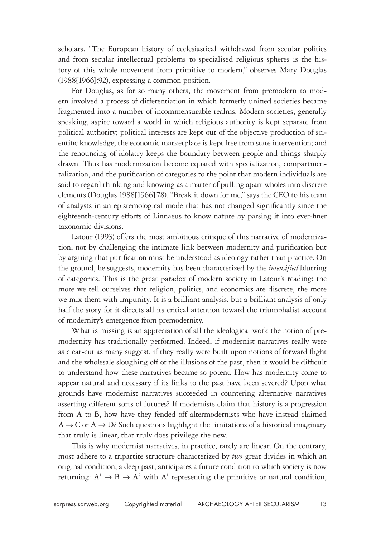scholars. "The European history of ecclesiastical withdrawal from secular politics and from secular intellectual problems to specialised religious spheres is the history of this whole movement from primitive to modern," observes Mary Douglas (1988[1966]:92), expressing a common position.

For Douglas, as for so many others, the movement from premodern to modern involved a process of differentiation in which formerly unified societies became fragmented into a number of incommensurable realms. Modern societies, generally speaking, aspire toward a world in which religious authority is kept separate from political authority; political interests are kept out of the objective production of scientific knowledge; the economic marketplace is kept free from state intervention; and the renouncing of idolatry keeps the boundary between people and things sharply drawn. Thus has modernization become equated with specialization, compartmentalization, and the purification of categories to the point that modern individuals are said to regard thinking and knowing as a matter of pulling apart wholes into discrete elements (Douglas 1988[1966]:78). "Break it down for me," says the CEO to his team of analysts in an epistemological mode that has not changed significantly since the eighteenth-century efforts of Linnaeus to know nature by parsing it into ever-finer taxonomic divisions.

Latour (1993) offers the most ambitious critique of this narrative of modernization, not by challenging the intimate link between modernity and purification but by arguing that purification must be understood as ideology rather than practice. On the ground, he suggests, modernity has been characterized by the *intensified* blurring of categories. This is the great paradox of modern society in Latour's reading: the more we tell ourselves that religion, politics, and economics are discrete, the more we mix them with impunity. It is a brilliant analysis, but a brilliant analysis of only half the story for it directs all its critical attention toward the triumphalist account of modernity's emergence from premodernity.

What is missing is an appreciation of all the ideological work the notion of premodernity has traditionally performed. Indeed, if modernist narratives really were as clear-cut as many suggest, if they really were built upon notions of forward flight and the wholesale sloughing off of the illusions of the past, then it would be difficult to understand how these narratives became so potent. How has modernity come to appear natural and necessary if its links to the past have been severed? Upon what grounds have modernist narratives succeeded in countering alternative narratives asserting different sorts of futures? If modernists claim that history is a progression from A to B, how have they fended off altermodernists who have instead claimed  $A \rightarrow C$  or  $A \rightarrow D$ ? Such questions highlight the limitations of a historical imaginary that truly is linear, that truly does privilege the new.

This is why modernist narratives, in practice, rarely are linear. On the contrary, most adhere to a tripartite structure characterized by *two* great divides in which an original condition, a deep past, anticipates a future condition to which society is now returning:  $A^1 \rightarrow B \rightarrow A^2$  with  $A^1$  representing the primitive or natural condition,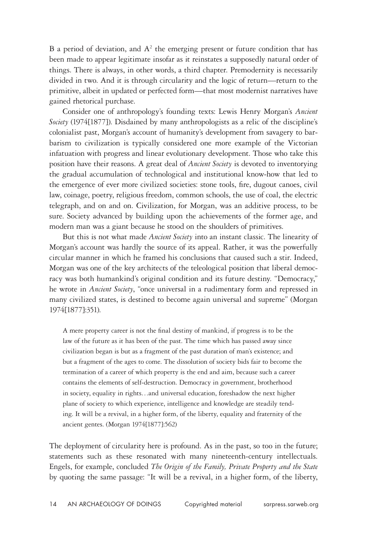B a period of deviation, and  $A^2$  the emerging present or future condition that has been made to appear legitimate insofar as it reinstates a supposedly natural order of things. There is always, in other words, a third chapter. Premodernity is necessarily divided in two. And it is through circularity and the logic of return—return to the primitive, albeit in updated or perfected form—that most modernist narratives have gained rhetorical purchase.

Consider one of anthropology's founding texts: Lewis Henry Morgan's *Ancient Society* (1974[1877]). Disdained by many anthropologists as a relic of the discipline's colonialist past, Morgan's account of humanity's development from savagery to barbarism to civilization is typically considered one more example of the Victorian infatuation with progress and linear evolutionary development. Those who take this position have their reasons. A great deal of *Ancient Society* is devoted to inventorying the gradual accumulation of technological and institutional know-how that led to the emergence of ever more civilized societies: stone tools, fire, dugout canoes, civil law, coinage, poetry, religious freedom, common schools, the use of coal, the electric telegraph, and on and on. Civilization, for Morgan, was an additive process, to be sure. Society advanced by building upon the achievements of the former age, and modern man was a giant because he stood on the shoulders of primitives.

But this is not what made *Ancient Society* into an instant classic. The linearity of Morgan's account was hardly the source of its appeal. Rather, it was the powerfully circular manner in which he framed his conclusions that caused such a stir. Indeed, Morgan was one of the key architects of the teleological position that liberal democracy was both humankind's original condition and its future destiny. "Democracy," he wrote in *Ancient Society*, "once universal in a rudimentary form and repressed in many civilized states, is destined to become again universal and supreme" (Morgan 1974[1877]:351).

A mere property career is not the final destiny of mankind, if progress is to be the law of the future as it has been of the past. The time which has passed away since civilization began is but as a fragment of the past duration of man's existence; and but a fragment of the ages to come. The dissolution of society bids fair to become the termination of a career of which property is the end and aim, because such a career contains the elements of self-destruction. Democracy in government, brotherhood in society, equality in rights…and universal education, foreshadow the next higher plane of society to which experience, intelligence and knowledge are steadily tending. It will be a revival, in a higher form, of the liberty, equality and fraternity of the ancient gentes. (Morgan 1974[1877]:562)

The deployment of circularity here is profound. As in the past, so too in the future; statements such as these resonated with many nineteenth-century intellectuals. Engels, for example, concluded *The Origin of the Family, Private Property and the State* by quoting the same passage: "It will be a revival, in a higher form, of the liberty,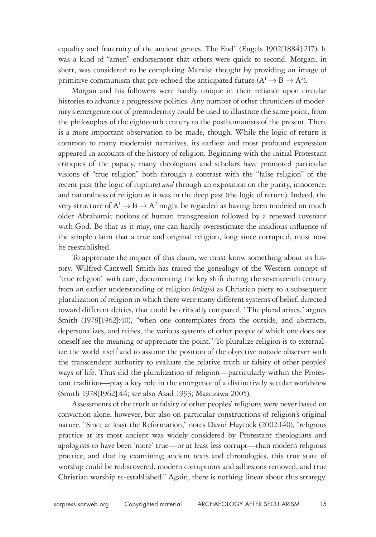equality and fraternity of the ancient gentes. The End" (Engels 1902[1884]:217). It was a kind of "amen" endorsement that others were quick to second. Morgan, in short, was considered to be completing Marxist thought by providing an image of primitive communism that pre-echoed the anticipated future ( $A^1 \rightarrow B \rightarrow A^2$ ).

Morgan and his followers were hardly unique in their reliance upon circular histories to advance a progressive politics. Any number of other chroniclers of modernity's emergence out of premodernity could be used to illustrate the same point, from the philosophes of the eighteenth century to the posthumanists of the present. There is a more important observation to be made, though. While the logic of return is common to many modernist narratives, its earliest and most profound expression appeared in accounts of the history of religion. Beginning with the initial Protestant critiques of the papacy, many theologians and scholars have promoted particular visions of "true religion" both through a contrast with the "false religion" of the recent past (the logic of rupture) *and* through an exposition on the purity, innocence, and naturalness of religion as it was in the deep past (the logic of return). Indeed, the very structure of  $A^1 \rightarrow B \rightarrow A^2$  might be regarded as having been modeled on much older Abrahamic notions of human transgression followed by a renewed covenant with God. Be that as it may, one can hardly overestimate the insidious influence of the simple claim that a true and original religion, long since corrupted, must now be reestablished.

To appreciate the impact of this claim, we must know something about its history. Wilfred Cantwell Smith has traced the genealogy of the Western concept of "true religion" with care, documenting the key shift during the seventeenth century from an earlier understanding of religion (*religio*) as Christian piety to a subsequent pluralization of religion in which there were many different systems of belief, directed toward different deities, that could be critically compared. "The plural arises," argues Smith (1978[1962]:40), "when one contemplates from the outside, and abstracts, depersonalizes, and reifies, the various systems of other people of which one does not oneself see the meaning or appreciate the point." To pluralize religion is to externalize the world itself and to assume the position of the objective outside observer with the transcendent authority to evaluate the relative truth or falsity of other peoples' ways of life. Thus did the pluralization of religion—particularly within the Protestant tradition—play a key role in the emergence of a distinctively secular worldview (Smith 1978[1962]:44; see also Asad 1993; Masuzawa 2005).

Assessments of the truth or falsity of other peoples' religions were never based on conviction alone, however, but also on particular constructions of religion's original nature. "Since at least the Reformation," notes David Haycock (2002:140), "religious practice at its most ancient was widely considered by Protestant theologians and apologists to have been 'more' true—or at least less corrupt—than modern religious practice, and that by examining ancient texts and chronologies, this true state of worship could be rediscovered, modern corruptions and adhesions removed, and true Christian worship re-established." Again, there is nothing linear about this strategy.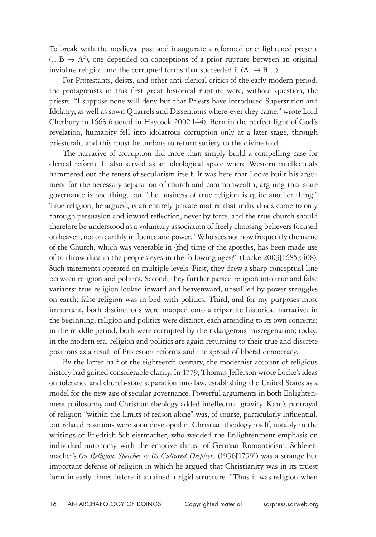To break with the medieval past and inaugurate a reformed or enlightened present  $(...B \rightarrow A^2)$ , one depended on conceptions of a prior rupture between an original inviolate religion and the corrupted forms that succeeded it  $(A^1 \rightarrow B...)$ .

For Protestants, deists, and other anti-clerical critics of the early modern period, the protagonists in this first great historical rupture were, without question, the priests. "I suppose none will deny but that Priests have introduced Superstition and Idolatry, as well as sown Quarrels and Dissentions where-ever they came," wrote Lord Cherbury in 1663 (quoted in Haycock 2002:144). Born in the perfect light of God's revelation, humanity fell into idolatrous corruption only at a later stage, through priestcraft, and this must be undone to return society to the divine fold.

The narrative of corruption did more than simply build a compelling case for clerical reform. It also served as an ideological space where Western intellectuals hammered out the tenets of secularism itself. It was here that Locke built his argument for the necessary separation of church and commonwealth, arguing that state governance is one thing, but "the business of true religion is quite another thing." True religion, he argued, is an entirely private matter that individuals come to only through persuasion and inward reflection, never by force, and the true church should therefore be understood as a voluntary association of freely choosing believers focused on heaven, not on earthly influence and power. "Who sees not how frequently the name of the Church, which was venerable in [the] time of the apostles, has been made use of to throw dust in the people's eyes in the following ages?" (Locke 2003[1685]:408). Such statements operated on multiple levels. First, they drew a sharp conceptual line between religion and politics. Second, they further parsed religion into true and false variants: true religion looked inward and heavenward, unsullied by power struggles on earth; false religion was in bed with politics. Third, and for my purposes most important, both distinctions were mapped onto a tripartite historical narrative: in the beginning, religion and politics were distinct, each attending to its own concerns; in the middle period, both were corrupted by their dangerous miscegenation; today, in the modern era, religion and politics are again returning to their true and discrete positions as a result of Protestant reforms and the spread of liberal democracy.

By the latter half of the eighteenth century, the modernist account of religious history had gained considerable clarity. In 1779, Thomas Jefferson wrote Locke's ideas on tolerance and church-state separation into law, establishing the United States as a model for the new age of secular governance. Powerful arguments in both Enlightenment philosophy and Christian theology added intellectual gravity. Kant's portrayal of religion "within the limits of reason alone" was, of course, particularly influential, but related positions were soon developed in Christian theology itself, notably in the writings of Friedrich Schleiermacher, who wedded the Enlightenment emphasis on individual autonomy with the emotive thrust of German Romanticism. Schleiermacher's *On Religion: Speeches to Its Cultured Despisers* (1996[1799]) was a strange but important defense of religion in which he argued that Christianity was in its truest form in early times before it attained a rigid structure. "Thus it was religion when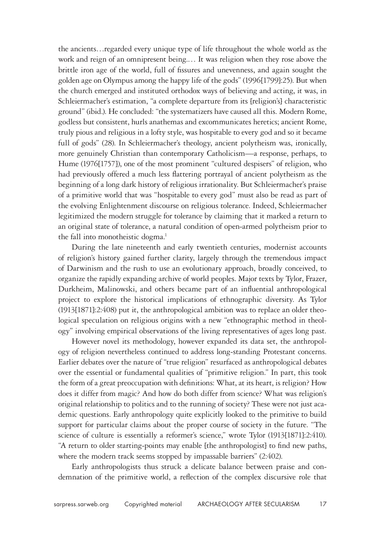the ancients…regarded every unique type of life throughout the whole world as the work and reign of an omnipresent being.… It was religion when they rose above the brittle iron age of the world, full of fissures and unevenness, and again sought the golden age on Olympus among the happy life of the gods" (1996[1799]:25). But when the church emerged and instituted orthodox ways of believing and acting, it was, in Schleiermacher's estimation, "a complete departure from its [religion's] characteristic ground" (ibid.). He concluded: "the systematizers have caused all this. Modern Rome, godless but consistent, hurls anathemas and excommunicates heretics; ancient Rome, truly pious and religious in a lofty style, was hospitable to every god and so it became full of gods" (28). In Schleiermacher's theology, ancient polytheism was, ironically, more genuinely Christian than contemporary Catholicism—a response, perhaps, to Hume (1976[1757]), one of the most prominent "cultured despisers" of religion, who had previously offered a much less flattering portrayal of ancient polytheism as the beginning of a long dark history of religious irrationality. But Schleiermacher's praise of a primitive world that was "hospitable to every god" must also be read as part of the evolving Enlightenment discourse on religious tolerance. Indeed, Schleiermacher legitimized the modern struggle for tolerance by claiming that it marked a return to an original state of tolerance, a natural condition of open-armed polytheism prior to the fall into monotheistic dogma.<sup>1</sup>

During the late nineteenth and early twentieth centuries, modernist accounts of religion's history gained further clarity, largely through the tremendous impact of Darwinism and the rush to use an evolutionary approach, broadly conceived, to organize the rapidly expanding archive of world peoples. Major texts by Tylor, Frazer, Durkheim, Malinowski, and others became part of an influential anthropological project to explore the historical implications of ethnographic diversity. As Tylor (1913[1871]:2:408) put it, the anthropological ambition was to replace an older theological speculation on religious origins with a new "ethnographic method in theology" involving empirical observations of the living representatives of ages long past.

However novel its methodology, however expanded its data set, the anthropology of religion nevertheless continued to address long-standing Protestant concerns. Earlier debates over the nature of "true religion" resurfaced as anthropological debates over the essential or fundamental qualities of "primitive religion." In part, this took the form of a great preoccupation with definitions: What, at its heart, is religion? How does it differ from magic? And how do both differ from science? What was religion's original relationship to politics and to the running of society? These were not just academic questions. Early anthropology quite explicitly looked to the primitive to build support for particular claims about the proper course of society in the future. "The science of culture is essentially a reformer's science," wrote Tylor (1913[1871]:2:410). "A return to older starting-points may enable [the anthropologist] to find new paths, where the modern track seems stopped by impassable barriers" (2:402).

Early anthropologists thus struck a delicate balance between praise and condemnation of the primitive world, a reflection of the complex discursive role that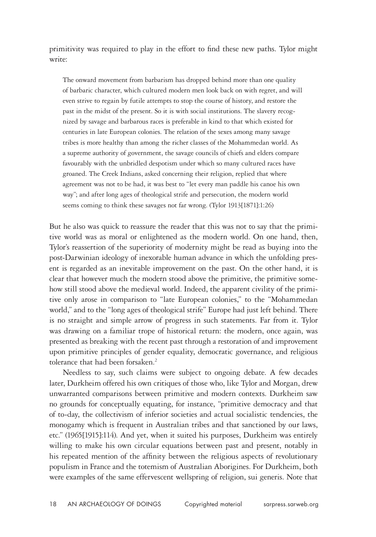primitivity was required to play in the effort to find these new paths. Tylor might write:

The onward movement from barbarism has dropped behind more than one quality of barbaric character, which cultured modern men look back on with regret, and will even strive to regain by futile attempts to stop the course of history, and restore the past in the midst of the present. So it is with social institutions. The slavery recognized by savage and barbarous races is preferable in kind to that which existed for centuries in late European colonies. The relation of the sexes among many savage tribes is more healthy than among the richer classes of the Mohammedan world. As a supreme authority of government, the savage councils of chiefs and elders compare favourably with the unbridled despotism under which so many cultured races have groaned. The Creek Indians, asked concerning their religion, replied that where agreement was not to be had, it was best to "let every man paddle his canoe his own way"; and after long ages of theological strife and persecution, the modern world seems coming to think these savages not far wrong. (Tylor 1913[1871]:1:26)

But he also was quick to reassure the reader that this was not to say that the primitive world was as moral or enlightened as the modern world. On one hand, then, Tylor's reassertion of the superiority of modernity might be read as buying into the post-Darwinian ideology of inexorable human advance in which the unfolding present is regarded as an inevitable improvement on the past. On the other hand, it is clear that however much the modern stood above the primitive, the primitive somehow still stood above the medieval world. Indeed, the apparent civility of the primitive only arose in comparison to "late European colonies," to the "Mohammedan world," and to the "long ages of theological strife" Europe had just left behind. There is no straight and simple arrow of progress in such statements. Far from it. Tylor was drawing on a familiar trope of historical return: the modern, once again, was presented as breaking with the recent past through a restoration of and improvement upon primitive principles of gender equality, democratic governance, and religious tolerance that had been forsaken.<sup>2</sup>

Needless to say, such claims were subject to ongoing debate. A few decades later, Durkheim offered his own critiques of those who, like Tylor and Morgan, drew unwarranted comparisons between primitive and modern contexts. Durkheim saw no grounds for conceptually equating, for instance, "primitive democracy and that of to-day, the collectivism of inferior societies and actual socialistic tendencies, the monogamy which is frequent in Australian tribes and that sanctioned by our laws, etc." (1965[1915]:114). And yet, when it suited his purposes, Durkheim was entirely willing to make his own circular equations between past and present, notably in his repeated mention of the affinity between the religious aspects of revolutionary populism in France and the totemism of Australian Aborigines. For Durkheim, both were examples of the same effervescent wellspring of religion, sui generis. Note that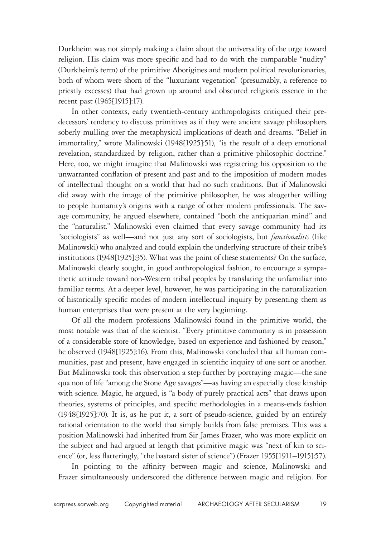Durkheim was not simply making a claim about the universality of the urge toward religion. His claim was more specific and had to do with the comparable "nudity" (Durkheim's term) of the primitive Aborigines and modern political revolutionaries, both of whom were shorn of the "luxuriant vegetation" (presumably, a reference to priestly excesses) that had grown up around and obscured religion's essence in the recent past (1965[1915]:17).

In other contexts, early twentieth-century anthropologists critiqued their predecessors' tendency to discuss primitives as if they were ancient savage philosophers soberly mulling over the metaphysical implications of death and dreams. "Belief in immortality," wrote Malinowski (1948[1925]:51), "is the result of a deep emotional revelation, standardized by religion, rather than a primitive philosophic doctrine." Here, too, we might imagine that Malinowski was registering his opposition to the unwarranted conflation of present and past and to the imposition of modern modes of intellectual thought on a world that had no such traditions. But if Malinowski did away with the image of the primitive philosopher, he was altogether willing to people humanity's origins with a range of other modern professionals. The savage community, he argued elsewhere, contained "both the antiquarian mind" and the "naturalist." Malinowski even claimed that every savage community had its "sociologists" as well—and not just any sort of sociologists, but *functionalists* (like Malinowski) who analyzed and could explain the underlying structure of their tribe's institutions (1948[1925]:35). What was the point of these statements? On the surface, Malinowski clearly sought, in good anthropological fashion, to encourage a sympathetic attitude toward non-Western tribal peoples by translating the unfamiliar into familiar terms. At a deeper level, however, he was participating in the naturalization of historically specific modes of modern intellectual inquiry by presenting them as human enterprises that were present at the very beginning.

Of all the modern professions Malinowski found in the primitive world, the most notable was that of the scientist. "Every primitive community is in possession of a considerable store of knowledge, based on experience and fashioned by reason," he observed (1948[1925]:16). From this, Malinowski concluded that all human communities, past and present, have engaged in scientific inquiry of one sort or another. But Malinowski took this observation a step further by portraying magic—the sine qua non of life "among the Stone Age savages"—as having an especially close kinship with science. Magic, he argued, is "a body of purely practical acts" that draws upon theories, systems of principles, and specific methodologies in a means-ends fashion (1948[1925]:70). It is, as he put it, a sort of pseudo-science, guided by an entirely rational orientation to the world that simply builds from false premises. This was a position Malinowski had inherited from Sir James Frazer, who was more explicit on the subject and had argued at length that primitive magic was "next of kin to science" (or, less flatteringly, "the bastard sister of science") (Frazer 1955[1911–1915]:57).

In pointing to the affinity between magic and science, Malinowski and Frazer simultaneously underscored the difference between magic and religion. For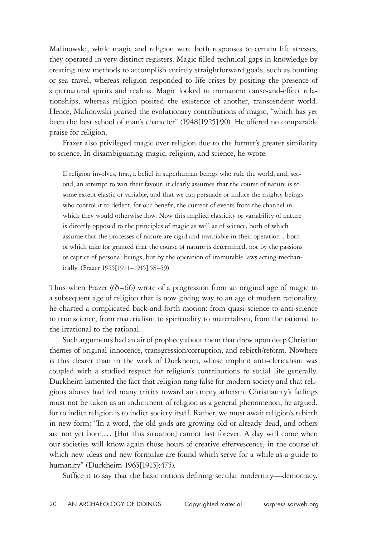Malinowski, while magic and religion were both responses to certain life stresses, they operated in very distinct registers. Magic filled technical gaps in knowledge by creating new methods to accomplish entirely straightforward goals, such as hunting or sea travel, whereas religion responded to life crises by positing the presence of supernatural spirits and realms. Magic looked to immanent cause-and-effect relationships, whereas religion posited the existence of another, transcendent world. Hence, Malinowski praised the evolutionary contributions of magic, "which has yet been the best school of man's character" (1948[1925]:90). He offered no comparable praise for religion.

Frazer also privileged magic over religion due to the former's greater similarity to science. In disambiguating magic, religion, and science, he wrote:

If religion involves, first, a belief in superhuman beings who rule the world, and, second, an attempt to win their favour, it clearly assumes that the course of nature is to some extent elastic or variable, and that we can persuade or induce the mighty beings who control it to deflect, for our benefit, the current of events from the channel in which they would otherwise flow. Now this implied elasticity or variability of nature is directly opposed to the principles of magic as well as of science, both of which assume that the processes of nature are rigid and invariable in their operation…both of which take for granted that the course of nature is determined, not by the passions or caprice of personal beings, but by the operation of immutable laws acting mechanically. (Frazer 1955[1911–1915]:58–59)

Thus when Frazer (65–66) wrote of a progression from an original age of magic to a subsequent age of religion that is now giving way to an age of modern rationality, he charted a complicated back-and-forth motion: from quasi-science to anti-science to true science, from materialism to spirituality to materialism, from the rational to the irrational to the rational.

Such arguments had an air of prophecy about them that drew upon deep Christian themes of original innocence, transgression/corruption, and rebirth/reform. Nowhere is this clearer than in the work of Durkheim, whose implicit anti-clericalism was coupled with a studied respect for religion's contributions to social life generally. Durkheim lamented the fact that religion rang false for modern society and that religious abuses had led many critics toward an empty atheism. Christianity's failings must not be taken as an indictment of religion as a general phenomenon, he argued, for to indict religion is to indict society itself. Rather, we must await religion's rebirth in new form: "In a word, the old gods are growing old or already dead, and others are not yet born.… [But this situation] cannot last forever. A day will come when our societies will know again those hours of creative effervescence, in the course of which new ideas and new formulae are found which serve for a while as a guide to humanity" (Durkheim 1965[1915]:475).

Suffice it to say that the basic notions defining secular modernity—democracy,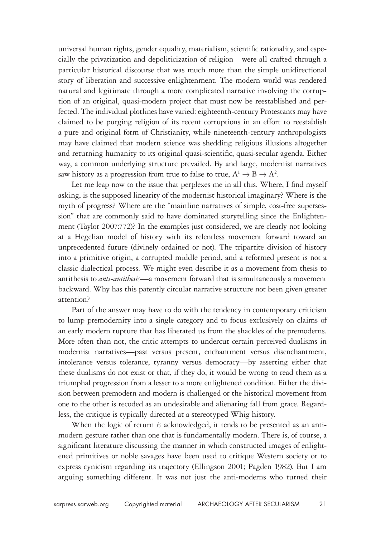universal human rights, gender equality, materialism, scientific rationality, and especially the privatization and depoliticization of religion—were all crafted through a particular historical discourse that was much more than the simple unidirectional story of liberation and successive enlightenment. The modern world was rendered natural and legitimate through a more complicated narrative involving the corruption of an original, quasi-modern project that must now be reestablished and perfected. The individual plotlines have varied: eighteenth-century Protestants may have claimed to be purging religion of its recent corruptions in an effort to reestablish a pure and original form of Christianity, while nineteenth-century anthropologists may have claimed that modern science was shedding religious illusions altogether and returning humanity to its original quasi-scientific, quasi-secular agenda. Either way, a common underlying structure prevailed. By and large, modernist narratives saw history as a progression from true to false to true,  $A^1 \rightarrow B \rightarrow A^2$ .

Let me leap now to the issue that perplexes me in all this. Where, I find myself asking, is the supposed linearity of the modernist historical imaginary? Where is the myth of progress? Where are the "mainline narratives of simple, cost-free supersession" that are commonly said to have dominated storytelling since the Enlightenment (Taylor 2007:772)? In the examples just considered, we are clearly not looking at a Hegelian model of history with its relentless movement forward toward an unprecedented future (divinely ordained or not). The tripartite division of history into a primitive origin, a corrupted middle period, and a reformed present is not a classic dialectical process. We might even describe it as a movement from thesis to antithesis to *anti-antithesis*—a movement forward that is simultaneously a movement backward. Why has this patently circular narrative structure not been given greater attention?

Part of the answer may have to do with the tendency in contemporary criticism to lump premodernity into a single category and to focus exclusively on claims of an early modern rupture that has liberated us from the shackles of the premoderns. More often than not, the critic attempts to undercut certain perceived dualisms in modernist narratives—past versus present, enchantment versus disenchantment, intolerance versus tolerance, tyranny versus democracy—by asserting either that these dualisms do not exist or that, if they do, it would be wrong to read them as a triumphal progression from a lesser to a more enlightened condition. Either the division between premodern and modern is challenged or the historical movement from one to the other is recoded as an undesirable and alienating fall from grace. Regardless, the critique is typically directed at a stereotyped Whig history.

When the logic of return *is* acknowledged, it tends to be presented as an antimodern gesture rather than one that is fundamentally modern. There is, of course, a significant literature discussing the manner in which constructed images of enlightened primitives or noble savages have been used to critique Western society or to express cynicism regarding its trajectory (Ellingson 2001; Pagden 1982). But I am arguing something different. It was not just the anti-moderns who turned their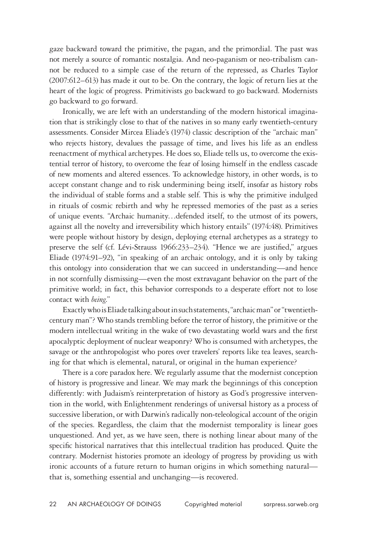gaze backward toward the primitive, the pagan, and the primordial. The past was not merely a source of romantic nostalgia. And neo-paganism or neo-tribalism cannot be reduced to a simple case of the return of the repressed, as Charles Taylor (2007:612–613) has made it out to be. On the contrary, the logic of return lies at the heart of the logic of progress. Primitivists go backward to go backward. Modernists go backward to go forward.

Ironically, we are left with an understanding of the modern historical imagination that is strikingly close to that of the natives in so many early twentieth-century assessments. Consider Mircea Eliade's (1974) classic description of the "archaic man" who rejects history, devalues the passage of time, and lives his life as an endless reenactment of mythical archetypes. He does so, Eliade tells us, to overcome the existential terror of history, to overcome the fear of losing himself in the endless cascade of new moments and altered essences. To acknowledge history, in other words, is to accept constant change and to risk undermining being itself, insofar as history robs the individual of stable forms and a stable self. This is why the primitive indulged in rituals of cosmic rebirth and why he repressed memories of the past as a series of unique events. "Archaic humanity…defended itself, to the utmost of its powers, against all the novelty and irreversibility which history entails" (1974:48). Primitives were people without history by design, deploying eternal archetypes as a strategy to preserve the self (cf. Lévi-Strauss 1966:233–234). "Hence we are justified," argues Eliade (1974:91–92), "in speaking of an archaic ontology, and it is only by taking this ontology into consideration that we can succeed in understanding—and hence in not scornfully dismissing—even the most extravagant behavior on the part of the primitive world; in fact, this behavior corresponds to a desperate effort not to lose contact with *being*."

Exactly who is Eliade talking about in such statements, "archaic man" or "twentiethcentury man"? Who stands trembling before the terror of history, the primitive or the modern intellectual writing in the wake of two devastating world wars and the first apocalyptic deployment of nuclear weaponry? Who is consumed with archetypes, the savage or the anthropologist who pores over travelers' reports like tea leaves, searching for that which is elemental, natural, or original in the human experience?

There is a core paradox here. We regularly assume that the modernist conception of history is progressive and linear. We may mark the beginnings of this conception differently: with Judaism's reinterpretation of history as God's progressive intervention in the world, with Enlightenment renderings of universal history as a process of successive liberation, or with Darwin's radically non-teleological account of the origin of the species. Regardless, the claim that the modernist temporality is linear goes unquestioned. And yet, as we have seen, there is nothing linear about many of the specific historical narratives that this intellectual tradition has produced. Quite the contrary. Modernist histories promote an ideology of progress by providing us with ironic accounts of a future return to human origins in which something natural that is, something essential and unchanging—is recovered.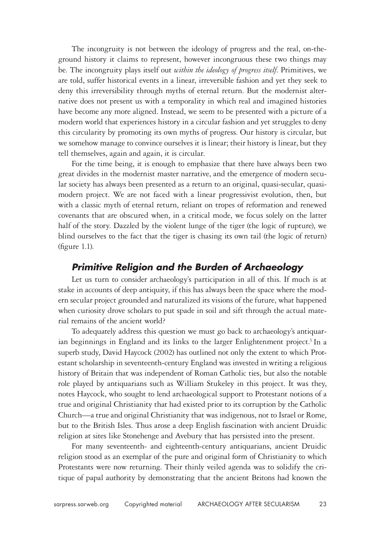The incongruity is not between the ideology of progress and the real, on-theground history it claims to represent, however incongruous these two things may be. The incongruity plays itself out *within the ideology of progress itself*. Primitives, we are told, suffer historical events in a linear, irreversible fashion and yet they seek to deny this irreversibility through myths of eternal return. But the modernist alternative does not present us with a temporality in which real and imagined histories have become any more aligned. Instead, we seem to be presented with a picture of a modern world that experiences history in a circular fashion and yet struggles to deny this circularity by promoting its own myths of progress. Our history is circular, but we somehow manage to convince ourselves it is linear; their history is linear, but they tell themselves, again and again, it is circular.

For the time being, it is enough to emphasize that there have always been two great divides in the modernist master narrative, and the emergence of modern secular society has always been presented as a return to an original, quasi-secular, quasimodern project. We are not faced with a linear progressivist evolution, then, but with a classic myth of eternal return, reliant on tropes of reformation and renewed covenants that are obscured when, in a critical mode, we focus solely on the latter half of the story. Dazzled by the violent lunge of the tiger (the logic of rupture), we blind ourselves to the fact that the tiger is chasing its own tail (the logic of return) (figure 1.1).

#### *Primitive Religion and the Burden of Archaeology*

Let us turn to consider archaeology's participation in all of this. If much is at stake in accounts of deep antiquity, if this has always been the space where the modern secular project grounded and naturalized its visions of the future, what happened when curiosity drove scholars to put spade in soil and sift through the actual material remains of the ancient world?

To adequately address this question we must go back to archaeology's antiquarian beginnings in England and its links to the larger Enlightenment project.<sup>3</sup> In a superb study, David Haycock (2002) has outlined not only the extent to which Protestant scholarship in seventeenth-century England was invested in writing a religious history of Britain that was independent of Roman Catholic ties, but also the notable role played by antiquarians such as William Stukeley in this project. It was they, notes Haycock, who sought to lend archaeological support to Protestant notions of a true and original Christianity that had existed prior to its corruption by the Catholic Church—a true and original Christianity that was indigenous, not to Israel or Rome, but to the British Isles. Thus arose a deep English fascination with ancient Druidic religion at sites like Stonehenge and Avebury that has persisted into the present.

For many seventeenth- and eighteenth-century antiquarians, ancient Druidic religion stood as an exemplar of the pure and original form of Christianity to which Protestants were now returning. Their thinly veiled agenda was to solidify the critique of papal authority by demonstrating that the ancient Britons had known the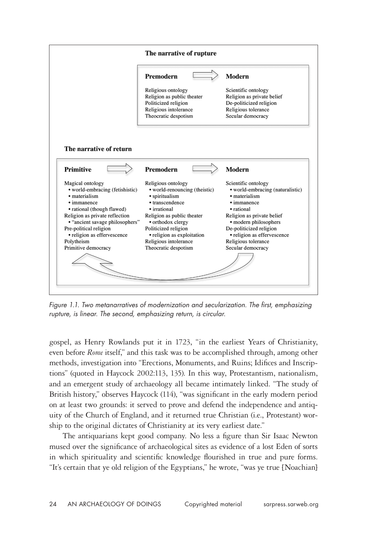

*Figure 1.1. Two metanarratives of modernization and secularization. The first, emphasizing rupture, is linear. The second, emphasizing return, is circular.*

gospel, as Henry Rowlands put it in 1723, "in the earliest Years of Christianity, even before *Rome* itself," and this task was to be accomplished through, among other methods, investigation into "Erections, Monuments, and Ruins; Idifices and Inscriptions" (quoted in Haycock 2002:113, 135). In this way, Protestantism, nationalism, and an emergent study of archaeology all became intimately linked. "The study of British history," observes Haycock (114), "was significant in the early modern period on at least two grounds: it served to prove and defend the independence and antiquity of the Church of England, and it returned true Christian (i.e., Protestant) worship to the original dictates of Christianity at its very earliest date."

The antiquarians kept good company. No less a figure than Sir Isaac Newton mused over the significance of archaeological sites as evidence of a lost Eden of sorts in which spirituality and scientific knowledge flourished in true and pure forms. "It's certain that ye old religion of the Egyptians," he wrote, "was ye true [Noachian]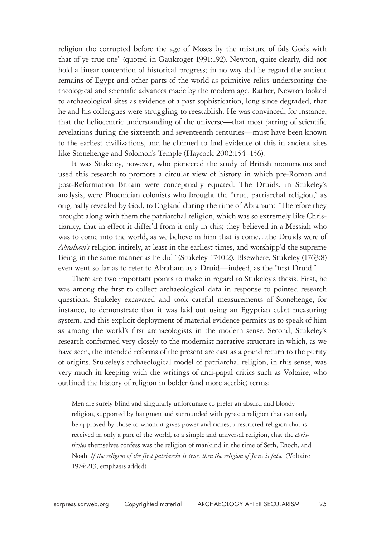religion tho corrupted before the age of Moses by the mixture of fals Gods with that of ye true one" (quoted in Gaukroger 1991:192). Newton, quite clearly, did not hold a linear conception of historical progress; in no way did he regard the ancient remains of Egypt and other parts of the world as primitive relics underscoring the theological and scientific advances made by the modern age. Rather, Newton looked to archaeological sites as evidence of a past sophistication, long since degraded, that he and his colleagues were struggling to reestablish. He was convinced, for instance, that the heliocentric understanding of the universe—that most jarring of scientific revelations during the sixteenth and seventeenth centuries—must have been known to the earliest civilizations, and he claimed to find evidence of this in ancient sites like Stonehenge and Solomon's Temple (Haycock 2002:154–156).

It was Stukeley, however, who pioneered the study of British monuments and used this research to promote a circular view of history in which pre-Roman and post-Reformation Britain were conceptually equated. The Druids, in Stukeley's analysis, were Phoenician colonists who brought the "true, patriarchal religion," as originally revealed by God, to England during the time of Abraham: "Therefore they brought along with them the patriarchal religion, which was so extremely like Christianity, that in effect it differ'd from it only in this; they believed in a Messiah who was to come into the world, as we believe in him that is come…the Druids were of *Abraham's* religion intirely, at least in the earliest times, and worshipp'd the supreme Being in the same manner as he did" (Stukeley 1740:2). Elsewhere, Stukeley (1763:8) even went so far as to refer to Abraham as a Druid—indeed, as the "first Druid."

There are two important points to make in regard to Stukeley's thesis. First, he was among the first to collect archaeological data in response to pointed research questions. Stukeley excavated and took careful measurements of Stonehenge, for instance, to demonstrate that it was laid out using an Egyptian cubit measuring system, and this explicit deployment of material evidence permits us to speak of him as among the world's first archaeologists in the modern sense. Second, Stukeley's research conformed very closely to the modernist narrative structure in which, as we have seen, the intended reforms of the present are cast as a grand return to the purity of origins. Stukeley's archaeological model of patriarchal religion, in this sense, was very much in keeping with the writings of anti-papal critics such as Voltaire, who outlined the history of religion in bolder (and more acerbic) terms:

Men are surely blind and singularly unfortunate to prefer an absurd and bloody religion, supported by hangmen and surrounded with pyres; a religion that can only be approved by those to whom it gives power and riches; a restricted religion that is received in only a part of the world, to a simple and universal religion, that the *christicoles* themselves confess was the religion of mankind in the time of Seth, Enoch, and Noah. *If the religion of the first patriarchs is true, then the religion of Jesus is false*. (Voltaire 1974:213, emphasis added)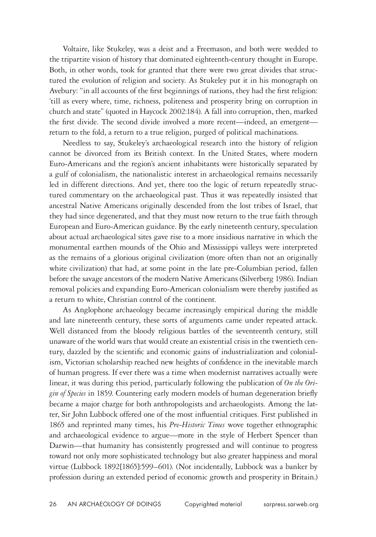Voltaire, like Stukeley, was a deist and a Freemason, and both were wedded to the tripartite vision of history that dominated eighteenth-century thought in Europe. Both, in other words, took for granted that there were two great divides that structured the evolution of religion and society. As Stukeley put it in his monograph on Avebury: "in all accounts of the first beginnings of nations, they had the first religion: 'till as every where, time, richness, politeness and prosperity bring on corruption in church and state" (quoted in Haycock 2002:184). A fall into corruption, then, marked the first divide. The second divide involved a more recent—indeed, an emergent return to the fold, a return to a true religion, purged of political machinations.

Needless to say, Stukeley's archaeological research into the history of religion cannot be divorced from its British context. In the United States, where modern Euro-Americans and the region's ancient inhabitants were historically separated by a gulf of colonialism, the nationalistic interest in archaeological remains necessarily led in different directions. And yet, there too the logic of return repeatedly structured commentary on the archaeological past. Thus it was repeatedly insisted that ancestral Native Americans originally descended from the lost tribes of Israel, that they had since degenerated, and that they must now return to the true faith through European and Euro-American guidance. By the early nineteenth century, speculation about actual archaeological sites gave rise to a more insidious narrative in which the monumental earthen mounds of the Ohio and Mississippi valleys were interpreted as the remains of a glorious original civilization (more often than not an originally white civilization) that had, at some point in the late pre-Columbian period, fallen before the savage ancestors of the modern Native Americans (Silverberg 1986). Indian removal policies and expanding Euro-American colonialism were thereby justified as a return to white, Christian control of the continent.

As Anglophone archaeology became increasingly empirical during the middle and late nineteenth century, these sorts of arguments came under repeated attack. Well distanced from the bloody religious battles of the seventeenth century, still unaware of the world wars that would create an existential crisis in the twentieth century, dazzled by the scientific and economic gains of industrialization and colonialism, Victorian scholarship reached new heights of confidence in the inevitable march of human progress. If ever there was a time when modernist narratives actually were linear, it was during this period, particularly following the publication of *On the Origin of Species* in 1859. Countering early modern models of human degeneration briefly became a major charge for both anthropologists and archaeologists. Among the latter, Sir John Lubbock offered one of the most influential critiques. First published in 1865 and reprinted many times, his *Pre-Historic Times* wove together ethnographic and archaeological evidence to argue—more in the style of Herbert Spencer than Darwin—that humanity has consistently progressed and will continue to progress toward not only more sophisticated technology but also greater happiness and moral virtue (Lubbock 1892[1865]:599–601). (Not incidentally, Lubbock was a banker by profession during an extended period of economic growth and prosperity in Britain.)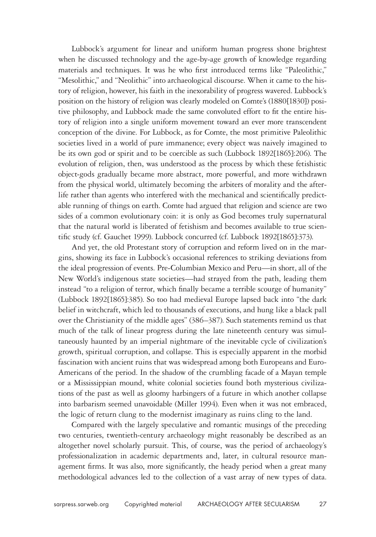Lubbock's argument for linear and uniform human progress shone brightest when he discussed technology and the age-by-age growth of knowledge regarding materials and techniques. It was he who first introduced terms like "Paleolithic," "Mesolithic," and "Neolithic" into archaeological discourse. When it came to the history of religion, however, his faith in the inexorability of progress wavered. Lubbock's position on the history of religion was clearly modeled on Comte's (1880[1830]) positive philosophy, and Lubbock made the same convoluted effort to fit the entire history of religion into a single uniform movement toward an ever more transcendent conception of the divine. For Lubbock, as for Comte, the most primitive Paleolithic societies lived in a world of pure immanence; every object was naively imagined to be its own god or spirit and to be coercible as such (Lubbock 1892[1865]:206). The evolution of religion, then, was understood as the process by which these fetishistic object-gods gradually became more abstract, more powerful, and more withdrawn from the physical world, ultimately becoming the arbiters of morality and the afterlife rather than agents who interfered with the mechanical and scientifically predictable running of things on earth. Comte had argued that religion and science are two sides of a common evolutionary coin: it is only as God becomes truly supernatural that the natural world is liberated of fetishism and becomes available to true scientific study (cf. Gauchet 1999). Lubbock concurred (cf. Lubbock 1892[1865]:373).

And yet, the old Protestant story of corruption and reform lived on in the margins, showing its face in Lubbock's occasional references to striking deviations from the ideal progression of events. Pre-Columbian Mexico and Peru—in short, all of the New World's indigenous state societies—had strayed from the path, leading them instead "to a religion of terror, which finally became a terrible scourge of humanity" (Lubbock 1892[1865]:385). So too had medieval Europe lapsed back into "the dark belief in witchcraft, which led to thousands of executions, and hung like a black pall over the Christianity of the middle ages" (386–387). Such statements remind us that much of the talk of linear progress during the late nineteenth century was simultaneously haunted by an imperial nightmare of the inevitable cycle of civilization's growth, spiritual corruption, and collapse. This is especially apparent in the morbid fascination with ancient ruins that was widespread among both Europeans and Euro-Americans of the period. In the shadow of the crumbling facade of a Mayan temple or a Mississippian mound, white colonial societies found both mysterious civilizations of the past as well as gloomy harbingers of a future in which another collapse into barbarism seemed unavoidable (Miller 1994). Even when it was not embraced, the logic of return clung to the modernist imaginary as ruins cling to the land.

Compared with the largely speculative and romantic musings of the preceding two centuries, twentieth-century archaeology might reasonably be described as an altogether novel scholarly pursuit. This, of course, was the period of archaeology's professionalization in academic departments and, later, in cultural resource management firms. It was also, more significantly, the heady period when a great many methodological advances led to the collection of a vast array of new types of data.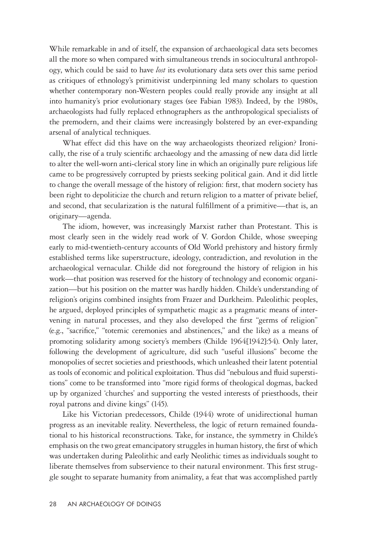While remarkable in and of itself, the expansion of archaeological data sets becomes all the more so when compared with simultaneous trends in sociocultural anthropology, which could be said to have *lost* its evolutionary data sets over this same period as critiques of ethnology's primitivist underpinning led many scholars to question whether contemporary non-Western peoples could really provide any insight at all into humanity's prior evolutionary stages (see Fabian 1983). Indeed, by the 1980s, archaeologists had fully replaced ethnographers as the anthropological specialists of the premodern, and their claims were increasingly bolstered by an ever-expanding arsenal of analytical techniques.

What effect did this have on the way archaeologists theorized religion? Ironically, the rise of a truly scientific archaeology and the amassing of new data did little to alter the well-worn anti-clerical story line in which an originally pure religious life came to be progressively corrupted by priests seeking political gain. And it did little to change the overall message of the history of religion: first, that modern society has been right to depoliticize the church and return religion to a matter of private belief, and second, that secularization is the natural fulfillment of a primitive—that is, an originary—agenda.

The idiom, however, was increasingly Marxist rather than Protestant. This is most clearly seen in the widely read work of V. Gordon Childe, whose sweeping early to mid-twentieth-century accounts of Old World prehistory and history firmly established terms like superstructure, ideology, contradiction, and revolution in the archaeological vernacular. Childe did not foreground the history of religion in his work—that position was reserved for the history of technology and economic organization—but his position on the matter was hardly hidden. Childe's understanding of religion's origins combined insights from Frazer and Durkheim. Paleolithic peoples, he argued, deployed principles of sympathetic magic as a pragmatic means of intervening in natural processes, and they also developed the first "germs of religion" (e.g., "sacrifice," "totemic ceremonies and abstinences," and the like) as a means of promoting solidarity among society's members (Childe 1964[1942]:54). Only later, following the development of agriculture, did such "useful illusions" become the monopolies of secret societies and priesthoods, which unleashed their latent potential as tools of economic and political exploitation. Thus did "nebulous and fluid superstitions" come to be transformed into "more rigid forms of theological dogmas, backed up by organized 'churches' and supporting the vested interests of priesthoods, their royal patrons and divine kings" (145).

Like his Victorian predecessors, Childe (1944) wrote of unidirectional human progress as an inevitable reality. Nevertheless, the logic of return remained foundational to his historical reconstructions. Take, for instance, the symmetry in Childe's emphasis on the two great emancipatory struggles in human history, the first of which was undertaken during Paleolithic and early Neolithic times as individuals sought to liberate themselves from subservience to their natural environment. This first struggle sought to separate humanity from animality, a feat that was accomplished partly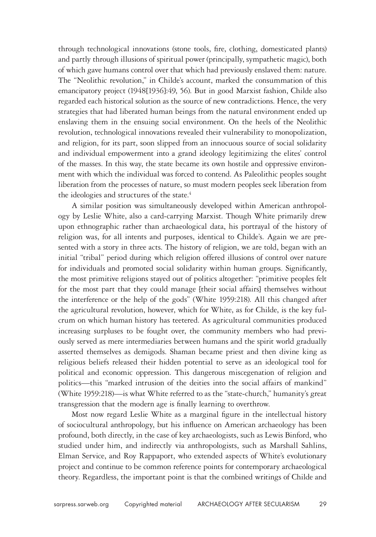through technological innovations (stone tools, fire, clothing, domesticated plants) and partly through illusions of spiritual power (principally, sympathetic magic), both of which gave humans control over that which had previously enslaved them: nature. The "Neolithic revolution," in Childe's account, marked the consummation of this emancipatory project (1948[1936]:49, 56). But in good Marxist fashion, Childe also regarded each historical solution as the source of new contradictions. Hence, the very strategies that had liberated human beings from the natural environment ended up enslaving them in the ensuing social environment. On the heels of the Neolithic revolution, technological innovations revealed their vulnerability to monopolization, and religion, for its part, soon slipped from an innocuous source of social solidarity and individual empowerment into a grand ideology legitimizing the elites' control of the masses. In this way, the state became its own hostile and oppressive environment with which the individual was forced to contend. As Paleolithic peoples sought liberation from the processes of nature, so must modern peoples seek liberation from the ideologies and structures of the state.<sup>4</sup>

A similar position was simultaneously developed within American anthropology by Leslie White, also a card-carrying Marxist. Though White primarily drew upon ethnographic rather than archaeological data, his portrayal of the history of religion was, for all intents and purposes, identical to Childe's. Again we are presented with a story in three acts. The history of religion, we are told, began with an initial "tribal" period during which religion offered illusions of control over nature for individuals and promoted social solidarity within human groups. Significantly, the most primitive religions stayed out of politics altogether: "primitive peoples felt for the most part that they could manage [their social affairs] themselves without the interference or the help of the gods" (White 1959:218). All this changed after the agricultural revolution, however, which for White, as for Childe, is the key fulcrum on which human history has teetered. As agricultural communities produced increasing surpluses to be fought over, the community members who had previously served as mere intermediaries between humans and the spirit world gradually asserted themselves as demigods. Shaman became priest and then divine king as religious beliefs released their hidden potential to serve as an ideological tool for political and economic oppression. This dangerous miscegenation of religion and politics—this "marked intrusion of the deities into the social affairs of mankind" (White 1959:218)—is what White referred to as the "state-church," humanity's great transgression that the modern age is finally learning to overthrow.

Most now regard Leslie White as a marginal figure in the intellectual history of sociocultural anthropology, but his influence on American archaeology has been profound, both directly, in the case of key archaeologists, such as Lewis Binford, who studied under him, and indirectly via anthropologists, such as Marshall Sahlins, Elman Service, and Roy Rappaport, who extended aspects of White's evolutionary project and continue to be common reference points for contemporary archaeological theory. Regardless, the important point is that the combined writings of Childe and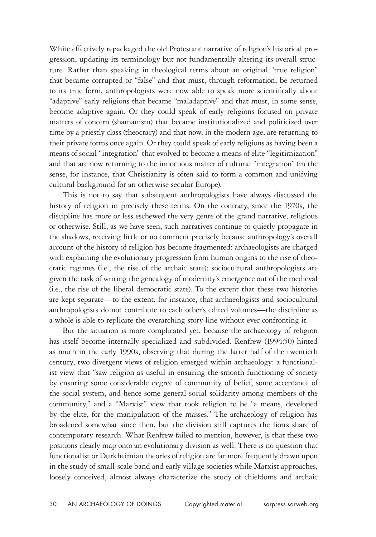White effectively repackaged the old Protestant narrative of religion's historical progression, updating its terminology but not fundamentally altering its overall structure. Rather than speaking in theological terms about an original "true religion" that became corrupted or "false" and that must, through reformation, be returned to its true form, anthropologists were now able to speak more scientifically about "adaptive" early religions that became "maladaptive" and that must, in some sense, become adaptive again. Or they could speak of early religions focused on private matters of concern (shamanism) that became institutionalized and politicized over time by a priestly class (theocracy) and that now, in the modern age, are returning to their private forms once again. Or they could speak of early religions as having been a means of social "integration" that evolved to become a means of elite "legitimization" and that are now returning to the innocuous matter of cultural "integration" (in the sense, for instance, that Christianity is often said to form a common and unifying cultural background for an otherwise secular Europe).

This is not to say that subsequent anthropologists have always discussed the history of religion in precisely these terms. On the contrary, since the 1970s, the discipline has more or less eschewed the very genre of the grand narrative, religious or otherwise. Still, as we have seen, such narratives continue to quietly propagate in the shadows, receiving little or no comment precisely because anthropology's overall account of the history of religion has become fragmented: archaeologists are charged with explaining the evolutionary progression from human origins to the rise of theocratic regimes (i.e., the rise of the archaic state); sociocultural anthropologists are given the task of writing the genealogy of modernity's emergence out of the medieval (i.e., the rise of the liberal democratic state). To the extent that these two histories are kept separate—to the extent, for instance, that archaeologists and sociocultural anthropologists do not contribute to each other's edited volumes—the discipline as a whole is able to replicate the overarching story line without ever confronting it.

But the situation is more complicated yet, because the archaeology of religion has itself become internally specialized and subdivided. Renfrew (1994:50) hinted as much in the early 1990s, observing that during the latter half of the twentieth century, two divergent views of religion emerged within archaeology: a functionalist view that "saw religion as useful in ensuring the smooth functioning of society by ensuring some considerable degree of community of belief, some acceptance of the social system, and hence some general social solidarity among members of the community," and a "Marxist" view that took religion to be "a means, developed by the elite, for the manipulation of the masses." The archaeology of religion has broadened somewhat since then, but the division still captures the lion's share of contemporary research. What Renfrew failed to mention, however, is that these two positions clearly map onto an evolutionary division as well. There is no question that functionalist or Durkheimian theories of religion are far more frequently drawn upon in the study of small-scale band and early village societies while Marxist approaches, loosely conceived, almost always characterize the study of chiefdoms and archaic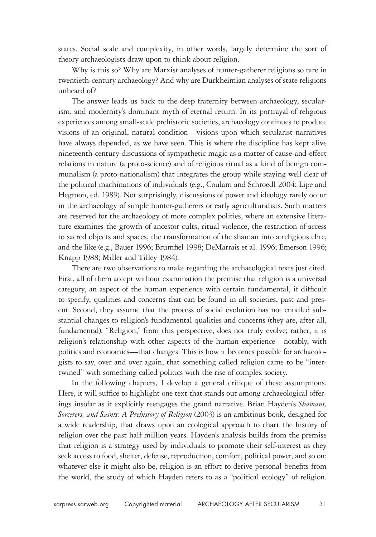states. Social scale and complexity, in other words, largely determine the sort of theory archaeologists draw upon to think about religion.

Why is this so? Why are Marxist analyses of hunter-gatherer religions so rare in twentieth-century archaeology? And why are Durkheimian analyses of state religions unheard of?

The answer leads us back to the deep fraternity between archaeology, secularism, and modernity's dominant myth of eternal return. In its portrayal of religious experiences among small-scale prehistoric societies, archaeology continues to produce visions of an original, natural condition—visions upon which secularist narratives have always depended, as we have seen. This is where the discipline has kept alive nineteenth-century discussions of sympathetic magic as a matter of cause-and-effect relations in nature (a proto-science) and of religious ritual as a kind of benign communalism (a proto-nationalism) that integrates the group while staying well clear of the political machinations of individuals (e.g., Coulam and Schroedl 2004; Lipe and Hegmon, ed. 1989). Not surprisingly, discussions of power and ideology rarely occur in the archaeology of simple hunter-gatherers or early agriculturalists. Such matters are reserved for the archaeology of more complex polities, where an extensive literature examines the growth of ancestor cults, ritual violence, the restriction of access to sacred objects and spaces, the transformation of the shaman into a religious elite, and the like (e.g., Bauer 1996; Brumfiel 1998; DeMarrais et al. 1996; Emerson 1996; Knapp 1988; Miller and Tilley 1984).

There are two observations to make regarding the archaeological texts just cited. First, all of them accept without examination the premise that religion is a universal category, an aspect of the human experience with certain fundamental, if difficult to specify, qualities and concerns that can be found in all societies, past and present. Second, they assume that the process of social evolution has not entailed substantial changes to religion's fundamental qualities and concerns (they are, after all, fundamental). "Religion," from this perspective, does not truly evolve; rather, it is religion's relationship with other aspects of the human experience—notably, with politics and economics—that changes. This is how it becomes possible for archaeologists to say, over and over again, that something called religion came to be "intertwined" with something called politics with the rise of complex society.

In the following chapters, I develop a general critique of these assumptions. Here, it will suffice to highlight one text that stands out among archaeological offerings insofar as it explicitly reengages the grand narrative. Brian Hayden's *Shamans, Sorcerers, and Saints: A Prehistory of Religion* (2003) is an ambitious book, designed for a wide readership, that draws upon an ecological approach to chart the history of religion over the past half million years. Hayden's analysis builds from the premise that religion is a strategy used by individuals to promote their self-interest as they seek access to food, shelter, defense, reproduction, comfort, political power, and so on: whatever else it might also be, religion is an effort to derive personal benefits from the world, the study of which Hayden refers to as a "political ecology" of religion.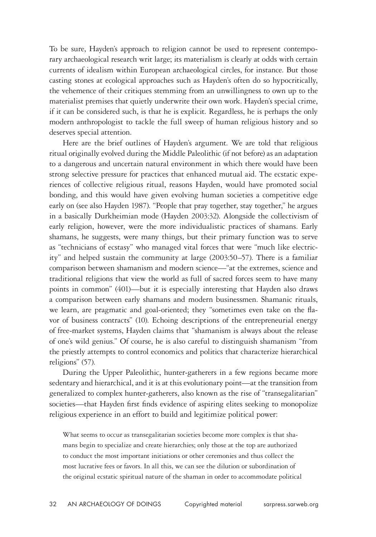To be sure, Hayden's approach to religion cannot be used to represent contemporary archaeological research writ large; its materialism is clearly at odds with certain currents of idealism within European archaeological circles, for instance. But those casting stones at ecological approaches such as Hayden's often do so hypocritically, the vehemence of their critiques stemming from an unwillingness to own up to the materialist premises that quietly underwrite their own work. Hayden's special crime, if it can be considered such, is that he is explicit. Regardless, he is perhaps the only modern anthropologist to tackle the full sweep of human religious history and so deserves special attention.

Here are the brief outlines of Hayden's argument. We are told that religious ritual originally evolved during the Middle Paleolithic (if not before) as an adaptation to a dangerous and uncertain natural environment in which there would have been strong selective pressure for practices that enhanced mutual aid. The ecstatic experiences of collective religious ritual, reasons Hayden, would have promoted social bonding, and this would have given evolving human societies a competitive edge early on (see also Hayden 1987). "People that pray together, stay together," he argues in a basically Durkheimian mode (Hayden 2003:32). Alongside the collectivism of early religion, however, were the more individualistic practices of shamans. Early shamans, he suggests, were many things, but their primary function was to serve as "technicians of ecstasy" who managed vital forces that were "much like electricity" and helped sustain the community at large (2003:50–57). There is a familiar comparison between shamanism and modern science—"at the extremes, science and traditional religions that view the world as full of sacred forces seem to have many points in common" (401)—but it is especially interesting that Hayden also draws a comparison between early shamans and modern businessmen. Shamanic rituals, we learn, are pragmatic and goal-oriented; they "sometimes even take on the flavor of business contracts" (10). Echoing descriptions of the entrepreneurial energy of free-market systems, Hayden claims that "shamanism is always about the release of one's wild genius." Of course, he is also careful to distinguish shamanism "from the priestly attempts to control economics and politics that characterize hierarchical religions" (57).

During the Upper Paleolithic, hunter-gatherers in a few regions became more sedentary and hierarchical, and it is at this evolutionary point—at the transition from generalized to complex hunter-gatherers, also known as the rise of "transegalitarian" societies—that Hayden first finds evidence of aspiring elites seeking to monopolize religious experience in an effort to build and legitimize political power:

What seems to occur as transegalitarian societies become more complex is that shamans begin to specialize and create hierarchies; only those at the top are authorized to conduct the most important initiations or other ceremonies and thus collect the most lucrative fees or favors. In all this, we can see the dilution or subordination of the original ecstatic spiritual nature of the shaman in order to accommodate political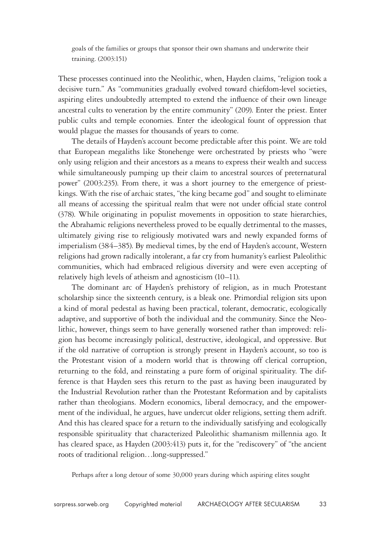goals of the families or groups that sponsor their own shamans and underwrite their training. (2003:151)

These processes continued into the Neolithic, when, Hayden claims, "religion took a decisive turn." As "communities gradually evolved toward chiefdom-level societies, aspiring elites undoubtedly attempted to extend the influence of their own lineage ancestral cults to veneration by the entire community" (209). Enter the priest. Enter public cults and temple economies. Enter the ideological fount of oppression that would plague the masses for thousands of years to come.

The details of Hayden's account become predictable after this point. We are told that European megaliths like Stonehenge were orchestrated by priests who "were only using religion and their ancestors as a means to express their wealth and success while simultaneously pumping up their claim to ancestral sources of preternatural power" (2003:235). From there, it was a short journey to the emergence of priestkings. With the rise of archaic states, "the king became god" and sought to eliminate all means of accessing the spiritual realm that were not under official state control (378). While originating in populist movements in opposition to state hierarchies, the Abrahamic religions nevertheless proved to be equally detrimental to the masses, ultimately giving rise to religiously motivated wars and newly expanded forms of imperialism (384–385). By medieval times, by the end of Hayden's account, Western religions had grown radically intolerant, a far cry from humanity's earliest Paleolithic communities, which had embraced religious diversity and were even accepting of relatively high levels of atheism and agnosticism (10–11).

The dominant arc of Hayden's prehistory of religion, as in much Protestant scholarship since the sixteenth century, is a bleak one. Primordial religion sits upon a kind of moral pedestal as having been practical, tolerant, democratic, ecologically adaptive, and supportive of both the individual and the community. Since the Neolithic, however, things seem to have generally worsened rather than improved: religion has become increasingly political, destructive, ideological, and oppressive. But if the old narrative of corruption is strongly present in Hayden's account, so too is the Protestant vision of a modern world that is throwing off clerical corruption, returning to the fold, and reinstating a pure form of original spirituality. The difference is that Hayden sees this return to the past as having been inaugurated by the Industrial Revolution rather than the Protestant Reformation and by capitalists rather than theologians. Modern economics, liberal democracy, and the empowerment of the individual, he argues, have undercut older religions, setting them adrift. And this has cleared space for a return to the individually satisfying and ecologically responsible spirituality that characterized Paleolithic shamanism millennia ago. It has cleared space, as Hayden (2003:413) puts it, for the "rediscovery" of "the ancient roots of traditional religion…long-suppressed."

Perhaps after a long detour of some 30,000 years during which aspiring elites sought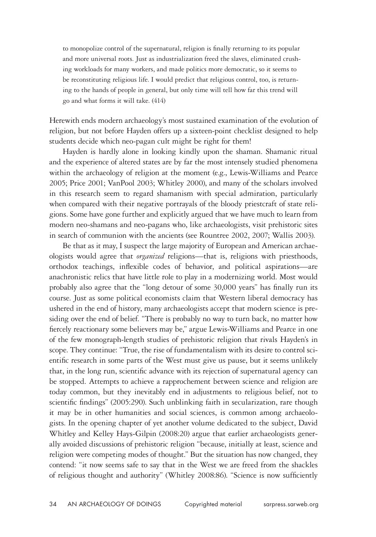to monopolize control of the supernatural, religion is finally returning to its popular and more universal roots. Just as industrialization freed the slaves, eliminated crushing workloads for many workers, and made politics more democratic, so it seems to be reconstituting religious life. I would predict that religious control, too, is returning to the hands of people in general, but only time will tell how far this trend will go and what forms it will take. (414)

Herewith ends modern archaeology's most sustained examination of the evolution of religion, but not before Hayden offers up a sixteen-point checklist designed to help students decide which neo-pagan cult might be right for them!

Hayden is hardly alone in looking kindly upon the shaman. Shamanic ritual and the experience of altered states are by far the most intensely studied phenomena within the archaeology of religion at the moment (e.g., Lewis-Williams and Pearce 2005; Price 2001; VanPool 2003; Whitley 2000), and many of the scholars involved in this research seem to regard shamanism with special admiration, particularly when compared with their negative portrayals of the bloody priestcraft of state religions. Some have gone further and explicitly argued that we have much to learn from modern neo-shamans and neo-pagans who, like archaeologists, visit prehistoric sites in search of communion with the ancients (see Rountree 2002, 2007; Wallis 2003).

Be that as it may, I suspect the large majority of European and American archaeologists would agree that *organized* religions—that is, religions with priesthoods, orthodox teachings, inflexible codes of behavior, and political aspirations—are anachronistic relics that have little role to play in a modernizing world. Most would probably also agree that the "long detour of some 30,000 years" has finally run its course. Just as some political economists claim that Western liberal democracy has ushered in the end of history, many archaeologists accept that modern science is presiding over the end of belief. "There is probably no way to turn back, no matter how fiercely reactionary some believers may be," argue Lewis-Williams and Pearce in one of the few monograph-length studies of prehistoric religion that rivals Hayden's in scope. They continue: "True, the rise of fundamentalism with its desire to control scientific research in some parts of the West must give us pause, but it seems unlikely that, in the long run, scientific advance with its rejection of supernatural agency can be stopped. Attempts to achieve a rapprochement between science and religion are today common, but they inevitably end in adjustments to religious belief, not to scientific findings" (2005:290). Such unblinking faith in secularization, rare though it may be in other humanities and social sciences, is common among archaeologists. In the opening chapter of yet another volume dedicated to the subject, David Whitley and Kelley Hays-Gilpin (2008:20) argue that earlier archaeologists generally avoided discussions of prehistoric religion "because, initially at least, science and religion were competing modes of thought." But the situation has now changed, they contend: "it now seems safe to say that in the West we are freed from the shackles of religious thought and authority" (Whitley 2008:86). "Science is now sufficiently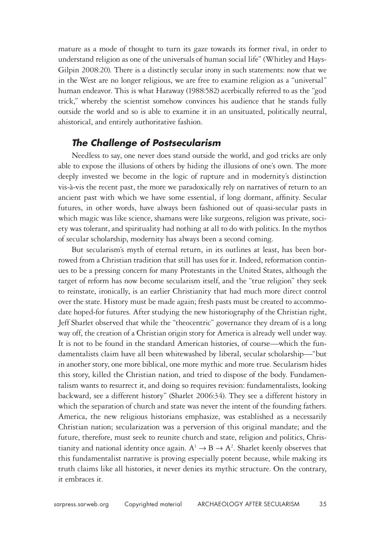mature as a mode of thought to turn its gaze towards its former rival, in order to understand religion as one of the universals of human social life" (Whitley and Hays-Gilpin 2008:20). There is a distinctly secular irony in such statements: now that we in the West are no longer religious, we are free to examine religion as a "universal" human endeavor. This is what Haraway (1988:582) acerbically referred to as the "god trick," whereby the scientist somehow convinces his audience that he stands fully outside the world and so is able to examine it in an unsituated, politically neutral, ahistorical, and entirely authoritative fashion.

### *The Challenge of Postsecularism*

Needless to say, one never does stand outside the world, and god tricks are only able to expose the illusions of others by hiding the illusions of one's own. The more deeply invested we become in the logic of rupture and in modernity's distinction vis-à-vis the recent past, the more we paradoxically rely on narratives of return to an ancient past with which we have some essential, if long dormant, affinity. Secular futures, in other words, have always been fashioned out of quasi-secular pasts in which magic was like science, shamans were like surgeons, religion was private, society was tolerant, and spirituality had nothing at all to do with politics. In the mythos of secular scholarship, modernity has always been a second coming.

But secularism's myth of eternal return, in its outlines at least, has been borrowed from a Christian tradition that still has uses for it. Indeed, reformation continues to be a pressing concern for many Protestants in the United States, although the target of reform has now become secularism itself, and the "true religion" they seek to reinstate, ironically, is an earlier Christianity that had much more direct control over the state. History must be made again; fresh pasts must be created to accommodate hoped-for futures. After studying the new historiography of the Christian right, Jeff Sharlet observed that while the "theocentric" governance they dream of is a long way off, the creation of a Christian origin story for America is already well under way. It is not to be found in the standard American histories, of course—which the fundamentalists claim have all been whitewashed by liberal, secular scholarship—"but in another story, one more biblical, one more mythic and more true. Secularism hides this story, killed the Christian nation, and tried to dispose of the body. Fundamentalism wants to resurrect it, and doing so requires revision: fundamentalists, looking backward, see a different history" (Sharlet 2006:34). They see a different history in which the separation of church and state was never the intent of the founding fathers. America, the new religious historians emphasize, was established as a necessarily Christian nation; secularization was a perversion of this original mandate; and the future, therefore, must seek to reunite church and state, religion and politics, Christianity and national identity once again.  $A^1 \rightarrow B \rightarrow A^2$ . Sharlet keenly observes that this fundamentalist narrative is proving especially potent because, while making its truth claims like all histories, it never denies its mythic structure. On the contrary, it embraces it.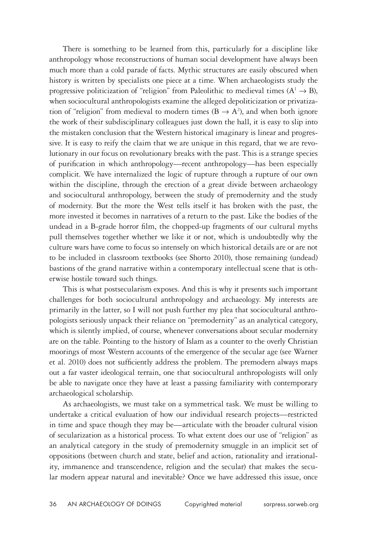There is something to be learned from this, particularly for a discipline like anthropology whose reconstructions of human social development have always been much more than a cold parade of facts. Mythic structures are easily obscured when history is written by specialists one piece at a time. When archaeologists study the progressive politicization of "religion" from Paleolithic to medieval times  $(A^1 \rightarrow B)$ , when sociocultural anthropologists examine the alleged depoliticization or privatization of "religion" from medieval to modern times ( $B \rightarrow A^2$ ), and when both ignore the work of their subdisciplinary colleagues just down the hall, it is easy to slip into the mistaken conclusion that the Western historical imaginary is linear and progressive. It is easy to reify the claim that we are unique in this regard, that we are revolutionary in our focus on revolutionary breaks with the past. This is a strange species of purification in which anthropology—recent anthropology—has been especially complicit. We have internalized the logic of rupture through a rupture of our own within the discipline, through the erection of a great divide between archaeology and sociocultural anthropology, between the study of premodernity and the study of modernity. But the more the West tells itself it has broken with the past, the more invested it becomes in narratives of a return to the past. Like the bodies of the undead in a B-grade horror film, the chopped-up fragments of our cultural myths pull themselves together whether we like it or not, which is undoubtedly why the culture wars have come to focus so intensely on which historical details are or are not to be included in classroom textbooks (see Shorto 2010), those remaining (undead) bastions of the grand narrative within a contemporary intellectual scene that is otherwise hostile toward such things.

This is what postsecularism exposes. And this is why it presents such important challenges for both sociocultural anthropology and archaeology. My interests are primarily in the latter, so I will not push further my plea that sociocultural anthropologists seriously unpack their reliance on "premodernity" as an analytical category, which is silently implied, of course, whenever conversations about secular modernity are on the table. Pointing to the history of Islam as a counter to the overly Christian moorings of most Western accounts of the emergence of the secular age (see Warner et al. 2010) does not sufficiently address the problem. The premodern always maps out a far vaster ideological terrain, one that sociocultural anthropologists will only be able to navigate once they have at least a passing familiarity with contemporary archaeological scholarship.

As archaeologists, we must take on a symmetrical task. We must be willing to undertake a critical evaluation of how our individual research projects—restricted in time and space though they may be—articulate with the broader cultural vision of secularization as a historical process. To what extent does our use of "religion" as an analytical category in the study of premodernity smuggle in an implicit set of oppositions (between church and state, belief and action, rationality and irrationality, immanence and transcendence, religion and the secular) that makes the secular modern appear natural and inevitable? Once we have addressed this issue, once